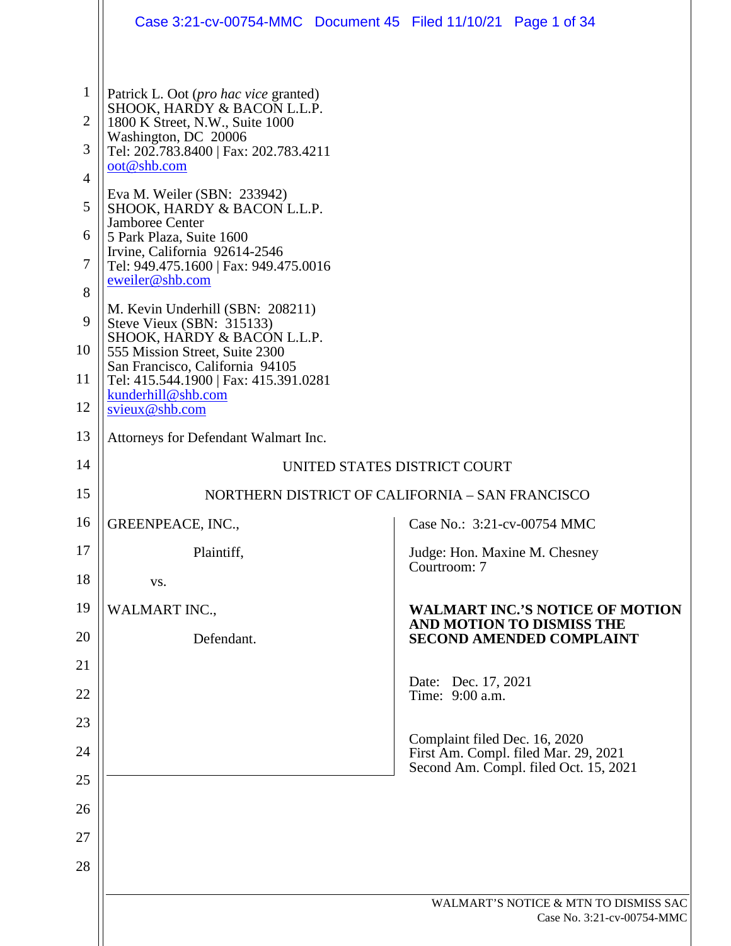|                | Case 3:21-cv-00754-MMC  Document 45  Filed 11/10/21  Page 1 of 34                         |                                                                               |
|----------------|-------------------------------------------------------------------------------------------|-------------------------------------------------------------------------------|
|                |                                                                                           |                                                                               |
| $\mathbf{1}$   | Patrick L. Oot ( <i>pro hac vice</i> granted)                                             |                                                                               |
| $\overline{2}$ | SHOOK, HARDY & BACON L.L.P.<br>1800 K Street, N.W., Suite 1000                            |                                                                               |
| 3              | Washington, DC 20006<br>Tel: 202.783.8400   Fax: 202.783.4211                             |                                                                               |
| 4              | oot@shb.com                                                                               |                                                                               |
| 5              | Eva M. Weiler (SBN: 233942)<br>SHOOK, HARDY & BACON L.L.P.                                |                                                                               |
| 6              | Jamboree Center<br>5 Park Plaza, Suite 1600                                               |                                                                               |
| 7              | Irvine, California 92614-2546<br>Tel: 949.475.1600   Fax: 949.475.0016<br>eweiler@shb.com |                                                                               |
| 8              | M. Kevin Underhill (SBN: 208211)                                                          |                                                                               |
| 9              | Steve Vieux (SBN: 315133)<br>SHOOK, HARDY & BACON L.L.P.                                  |                                                                               |
| 10             | 555 Mission Street, Suite 2300<br>San Francisco, California 94105                         |                                                                               |
| 11             | Tel: 415.544.1900   Fax: 415.391.0281<br>kunderhill@shb.com                               |                                                                               |
| 12             | svieux@shb.com                                                                            |                                                                               |
| 13             | Attorneys for Defendant Walmart Inc.                                                      |                                                                               |
| 14             |                                                                                           | UNITED STATES DISTRICT COURT                                                  |
| 15             |                                                                                           | NORTHERN DISTRICT OF CALIFORNIA - SAN FRANCISCO                               |
| 16             | GREENPEACE, INC.,                                                                         | Case No.: 3:21-cv-00754 MMC                                                   |
| 17             | Plaintiff,                                                                                | Judge: Hon. Maxine M. Chesney<br>Courtroom: 7                                 |
| 18             | VS.                                                                                       |                                                                               |
| 19             | <b>WALMART INC.,</b>                                                                      | <b>WALMART INC.'S NOTICE OF MOTION</b><br>AND MOTION TO DISMISS THE           |
| 20             | Defendant.                                                                                | <b>SECOND AMENDED COMPLAINT</b>                                               |
| 21             |                                                                                           | Date: Dec. 17, 2021                                                           |
| 22             |                                                                                           | Time: 9:00 a.m.                                                               |
| 23             |                                                                                           | Complaint filed Dec. 16, 2020                                                 |
| 24             |                                                                                           | First Am. Compl. filed Mar. 29, 2021<br>Second Am. Compl. filed Oct. 15, 2021 |
| 25             |                                                                                           |                                                                               |
| 26             |                                                                                           |                                                                               |
| 27             |                                                                                           |                                                                               |
| 28             |                                                                                           |                                                                               |
|                |                                                                                           | WALMART'S NOTICE & MTN TO DISMISS SAC<br>Case No. 3:21-cv-00754-MMC           |
|                |                                                                                           |                                                                               |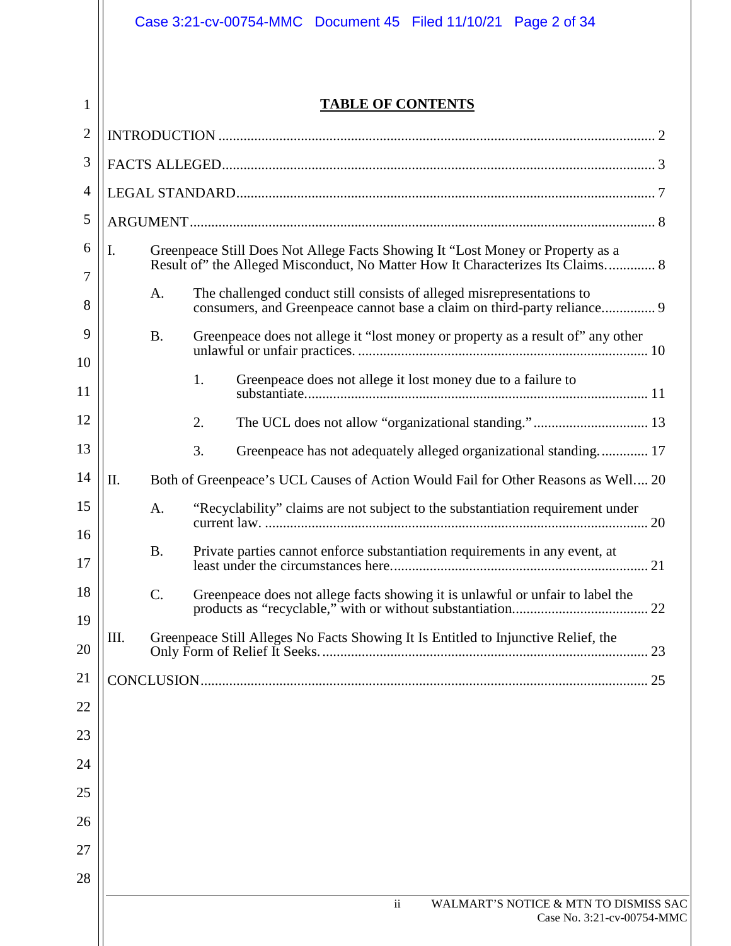# **TABLE OF CONTENTS**

| $\overline{2}$ |                                                                                                                                                                        |  |  |
|----------------|------------------------------------------------------------------------------------------------------------------------------------------------------------------------|--|--|
| 3              |                                                                                                                                                                        |  |  |
| 4              |                                                                                                                                                                        |  |  |
| 5              |                                                                                                                                                                        |  |  |
| 6              | I.<br>Greenpeace Still Does Not Allege Facts Showing It "Lost Money or Property as a<br>Result of" the Alleged Misconduct, No Matter How It Characterizes Its Claims 8 |  |  |
| 7<br>8         | The challenged conduct still consists of alleged misrepresentations to<br>A.<br>consumers, and Greenpeace cannot base a claim on third-party reliance 9                |  |  |
| 9              | <b>B.</b><br>Greenpeace does not allege it "lost money or property as a result of" any other                                                                           |  |  |
| 10<br>11       | 1.<br>Greenpeace does not allege it lost money due to a failure to                                                                                                     |  |  |
| 12             | 2.                                                                                                                                                                     |  |  |
| 13             | 3.<br>Greenpeace has not adequately alleged organizational standing 17                                                                                                 |  |  |
| 14             | II.<br>Both of Greenpeace's UCL Causes of Action Would Fail for Other Reasons as Well 20                                                                               |  |  |
| 15<br>16       | "Recyclability" claims are not subject to the substantiation requirement under<br>A.                                                                                   |  |  |
| 17             | <b>B.</b><br>Private parties cannot enforce substantiation requirements in any event, at                                                                               |  |  |
| 18             | C.<br>Greenpeace does not allege facts showing it is unlawful or unfair to label the                                                                                   |  |  |
| 19<br>20       | Greenpeace Still Alleges No Facts Showing It Is Entitled to Injunctive Relief, the<br>Ш.                                                                               |  |  |
| 21             | 25                                                                                                                                                                     |  |  |
| 22             |                                                                                                                                                                        |  |  |
| 23             |                                                                                                                                                                        |  |  |
| 24             |                                                                                                                                                                        |  |  |
| 25             |                                                                                                                                                                        |  |  |
| 26             |                                                                                                                                                                        |  |  |
| 27             |                                                                                                                                                                        |  |  |
| 28             |                                                                                                                                                                        |  |  |
|                | WALMART'S NOTICE & MTN TO DISMISS SAC<br>$\overline{\mathbf{1}}$<br>Case No. 3:21-cv-00754-MMC                                                                         |  |  |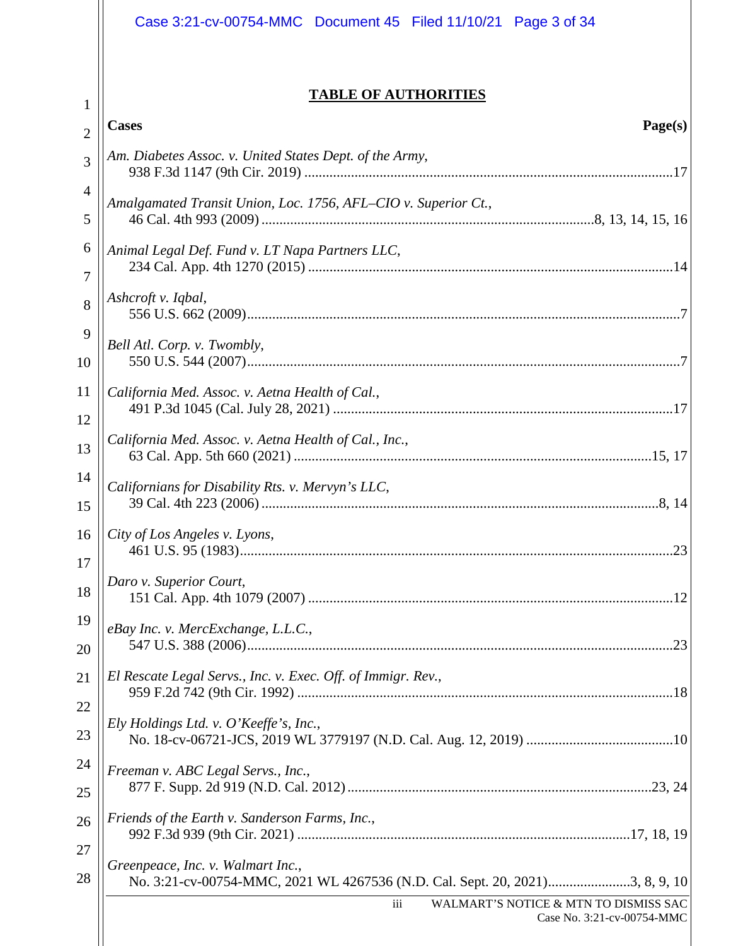|                | Case 3:21-cv-00754-MMC  Document 45  Filed 11/10/21  Page 3 of 34 |  |
|----------------|-------------------------------------------------------------------|--|
|                | <b>TABLE OF AUTHORITIES</b>                                       |  |
| $\mathbf 1$    | <b>Cases</b><br>Page(s)                                           |  |
| $\overline{2}$ |                                                                   |  |
| 3              | Am. Diabetes Assoc. v. United States Dept. of the Army,           |  |
| 4              | Amalgamated Transit Union, Loc. 1756, AFL-CIO v. Superior Ct.,    |  |
| 5              |                                                                   |  |
| 6<br>7         | Animal Legal Def. Fund v. LT Napa Partners LLC,                   |  |
| 8              | Ashcroft v. Iqbal,                                                |  |
| 9              |                                                                   |  |
| 10             | Bell Atl. Corp. v. Twombly,                                       |  |
| 11             | California Med. Assoc. v. Aetna Health of Cal.,                   |  |
| 12             |                                                                   |  |
| 13             | California Med. Assoc. v. Aetna Health of Cal., Inc.,             |  |
| 14             |                                                                   |  |
| 15             | Californians for Disability Rts. v. Mervyn's LLC,                 |  |
| 16             | City of Los Angeles v. Lyons,                                     |  |
| 17             |                                                                   |  |
| 18             | Daro v. Superior Court,                                           |  |
| 19             | eBay Inc. v. MercExchange, L.L.C.,                                |  |
| 20             |                                                                   |  |
| 21             | El Rescate Legal Servs., Inc. v. Exec. Off. of Immigr. Rev.,      |  |
| 22             |                                                                   |  |
| 23             | Ely Holdings Ltd. v. O'Keeffe's, Inc.,                            |  |
| 24             | Freeman v. ABC Legal Servs., Inc.,                                |  |
| 25             |                                                                   |  |
| 26             | Friends of the Earth v. Sanderson Farms, Inc.,                    |  |

992 F.3d 939 (9th Cir. 2021) .............................................................................................17, 18, 19

27

28

*Greenpeace, Inc. v. Walmart Inc.*,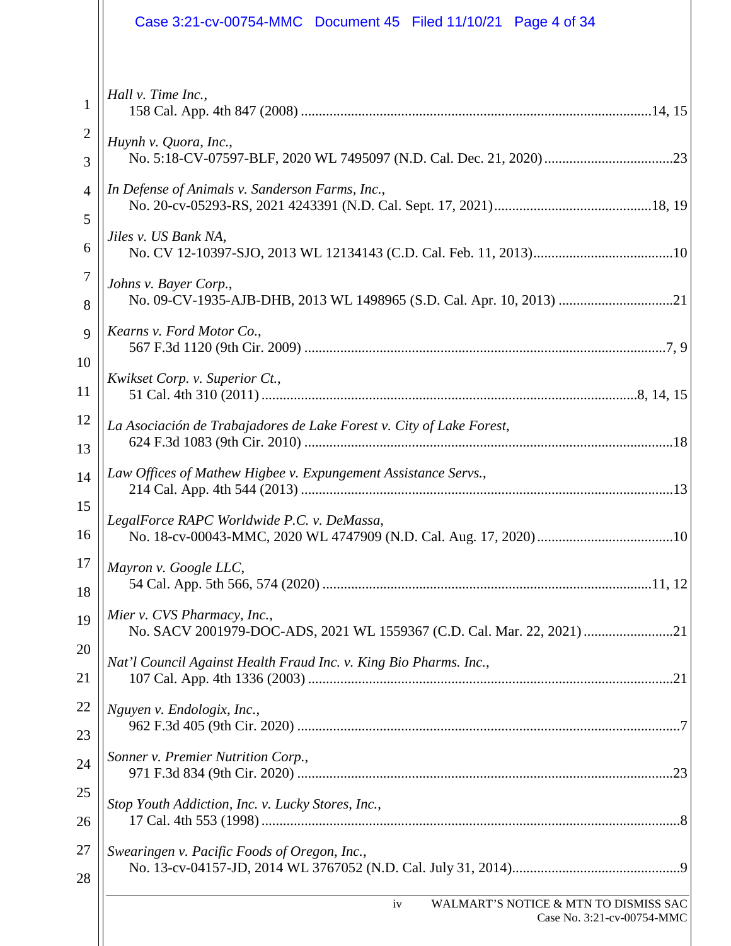|                | Case 3:21-cv-00754-MMC  Document 45  Filed 11/10/21  Page 4 of 34                                     |
|----------------|-------------------------------------------------------------------------------------------------------|
| 1              | Hall v. Time Inc.,                                                                                    |
| $\overline{2}$ | Huynh v. Quora, Inc.,                                                                                 |
| 3              |                                                                                                       |
| $\overline{4}$ | In Defense of Animals v. Sanderson Farms, Inc.,                                                       |
| 5              |                                                                                                       |
| 6              | Jiles v. US Bank NA,                                                                                  |
| $\overline{7}$ | Johns v. Bayer Corp.,                                                                                 |
| 8              | No. 09-CV-1935-AJB-DHB, 2013 WL 1498965 (S.D. Cal. Apr. 10, 2013) 21                                  |
| 9              | Kearns v. Ford Motor Co.,                                                                             |
| 10             |                                                                                                       |
| 11             | Kwikset Corp. v. Superior Ct.,                                                                        |
| 12             | La Asociación de Trabajadores de Lake Forest v. City of Lake Forest,                                  |
| 13             |                                                                                                       |
| 14             | Law Offices of Mathew Higbee v. Expungement Assistance Servs.,                                        |
| 15             | LegalForce RAPC Worldwide P.C. v. DeMassa,                                                            |
| 16             |                                                                                                       |
| 17             | Mayron v. Google LLC,                                                                                 |
| 18             |                                                                                                       |
| 19             | Mier v. CVS Pharmacy, Inc.,<br>No. SACV 2001979-DOC-ADS, 2021 WL 1559367 (C.D. Cal. Mar. 22, 2021) 21 |
| 20             | Nat'l Council Against Health Fraud Inc. v. King Bio Pharms. Inc.,                                     |
| 21             |                                                                                                       |
| 22             | Nguyen v. Endologix, Inc.,                                                                            |
| 23             |                                                                                                       |
| 24             | Sonner v. Premier Nutrition Corp.,                                                                    |
| 25             | Stop Youth Addiction, Inc. v. Lucky Stores, Inc.,                                                     |
| 26             |                                                                                                       |
| 27             | Swearingen v. Pacific Foods of Oregon, Inc.,                                                          |
| 28             |                                                                                                       |
|                | WALMART'S NOTICE & MTN TO DISMISS SAC<br>iv<br>Case No. 3:21-cv-00754-MMC                             |
|                |                                                                                                       |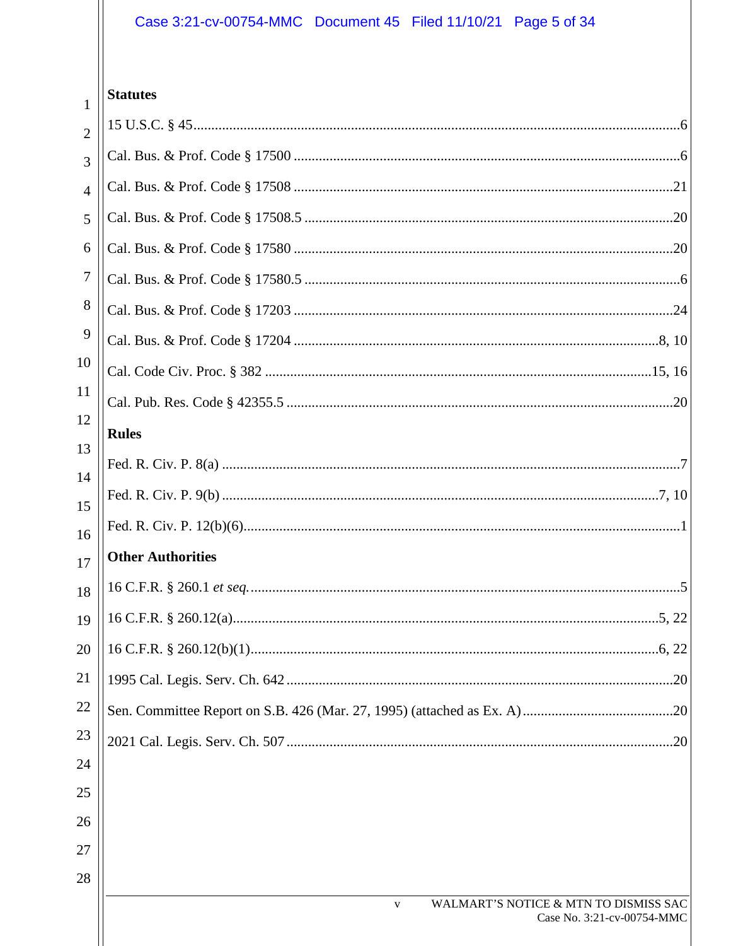# Case 3:21-cv-00754-MMC Document 45 Filed 11/10/21 Page 5 of 34

# $\frac{1}{1}$  Statutes

| $\overline{2}$ |                                                       |
|----------------|-------------------------------------------------------|
| 3              |                                                       |
| $\overline{4}$ |                                                       |
| 5              |                                                       |
| 6              |                                                       |
| 7              |                                                       |
| 8              |                                                       |
| 9              |                                                       |
| 10             |                                                       |
| 11             |                                                       |
| 12             | <b>Rules</b>                                          |
| 13             |                                                       |
| 14<br>15       |                                                       |
| 16             |                                                       |
| 17             | <b>Other Authorities</b>                              |
| 18             |                                                       |
| 19             |                                                       |
| 20             |                                                       |
| 21             |                                                       |
| 22             |                                                       |
| 23             |                                                       |
| 24             |                                                       |
| 25             |                                                       |
| 26             |                                                       |
| 27             |                                                       |
| 28             | WALMART'S NOTICE & MTN TO DISMISS SAC<br>$\mathbf{V}$ |
|                | Case No. 3:21-cv-00754-MMC                            |
|                |                                                       |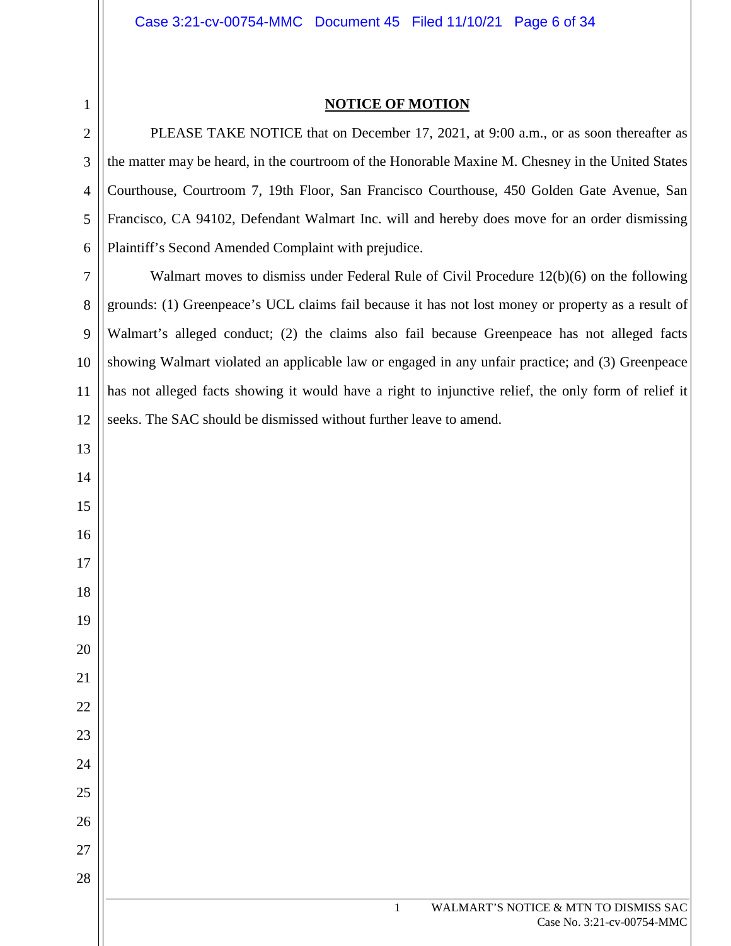# **NOTICE OF MOTION**

PLEASE TAKE NOTICE that on December 17, 2021, at 9:00 a.m., or as soon thereafter as the matter may be heard, in the courtroom of the Honorable Maxine M. Chesney in the United States Courthouse, Courtroom 7, 19th Floor, San Francisco Courthouse, 450 Golden Gate Avenue, San Francisco, CA 94102, Defendant Walmart Inc. will and hereby does move for an order dismissing Plaintiff's Second Amended Complaint with prejudice.

 Walmart moves to dismiss under Federal Rule of Civil Procedure 12(b)(6) on the following grounds: (1) Greenpeace's UCL claims fail because it has not lost money or property as a result of Walmart's alleged conduct; (2) the claims also fail because Greenpeace has not alleged facts showing Walmart violated an applicable law or engaged in any unfair practice; and (3) Greenpeace has not alleged facts showing it would have a right to injunctive relief, the only form of relief it seeks. The SAC should be dismissed without further leave to amend.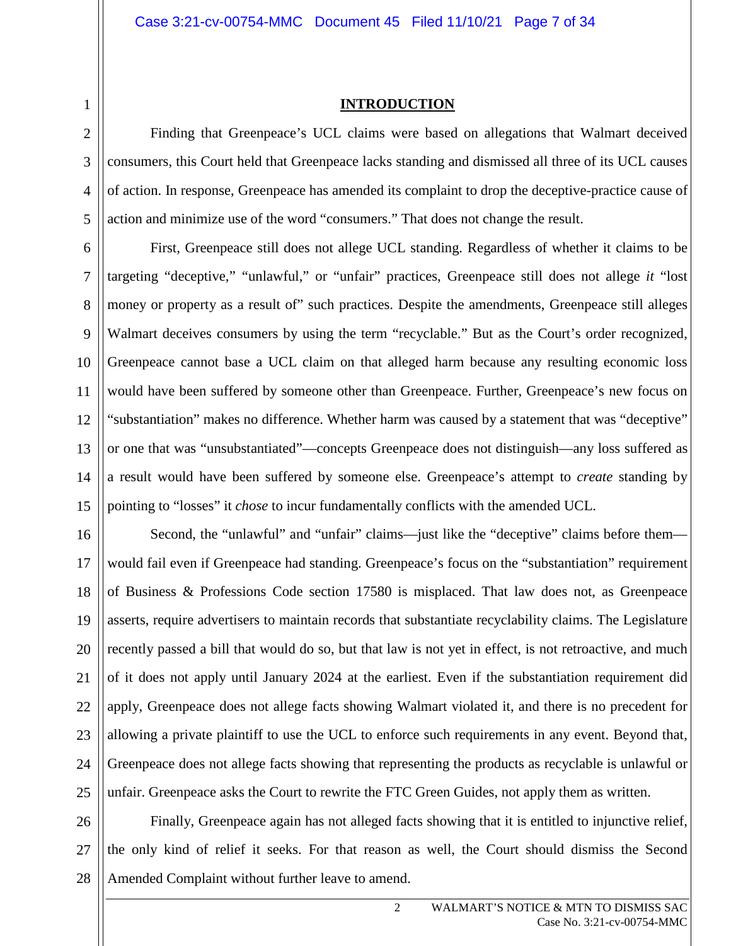2

3

4

5

# **INTRODUCTION**

Finding that Greenpeace's UCL claims were based on allegations that Walmart deceived consumers, this Court held that Greenpeace lacks standing and dismissed all three of its UCL causes of action. In response, Greenpeace has amended its complaint to drop the deceptive-practice cause of action and minimize use of the word "consumers." That does not change the result.

6 7 8 9 10 11 12 13 14 15 First, Greenpeace still does not allege UCL standing. Regardless of whether it claims to be targeting "deceptive," "unlawful," or "unfair" practices, Greenpeace still does not allege *it* "lost money or property as a result of" such practices. Despite the amendments, Greenpeace still alleges Walmart deceives consumers by using the term "recyclable." But as the Court's order recognized, Greenpeace cannot base a UCL claim on that alleged harm because any resulting economic loss would have been suffered by someone other than Greenpeace. Further, Greenpeace's new focus on "substantiation" makes no difference. Whether harm was caused by a statement that was "deceptive" or one that was "unsubstantiated"—concepts Greenpeace does not distinguish—any loss suffered as a result would have been suffered by someone else. Greenpeace's attempt to *create* standing by pointing to "losses" it *chose* to incur fundamentally conflicts with the amended UCL.

16 17 18 19 20 21 22 23 24 25 Second, the "unlawful" and "unfair" claims—just like the "deceptive" claims before them would fail even if Greenpeace had standing. Greenpeace's focus on the "substantiation" requirement of Business & Professions Code section 17580 is misplaced. That law does not, as Greenpeace asserts, require advertisers to maintain records that substantiate recyclability claims. The Legislature recently passed a bill that would do so, but that law is not yet in effect, is not retroactive, and much of it does not apply until January 2024 at the earliest. Even if the substantiation requirement did apply, Greenpeace does not allege facts showing Walmart violated it, and there is no precedent for allowing a private plaintiff to use the UCL to enforce such requirements in any event. Beyond that, Greenpeace does not allege facts showing that representing the products as recyclable is unlawful or unfair. Greenpeace asks the Court to rewrite the FTC Green Guides, not apply them as written.

26 27 28 Finally, Greenpeace again has not alleged facts showing that it is entitled to injunctive relief, the only kind of relief it seeks. For that reason as well, the Court should dismiss the Second Amended Complaint without further leave to amend.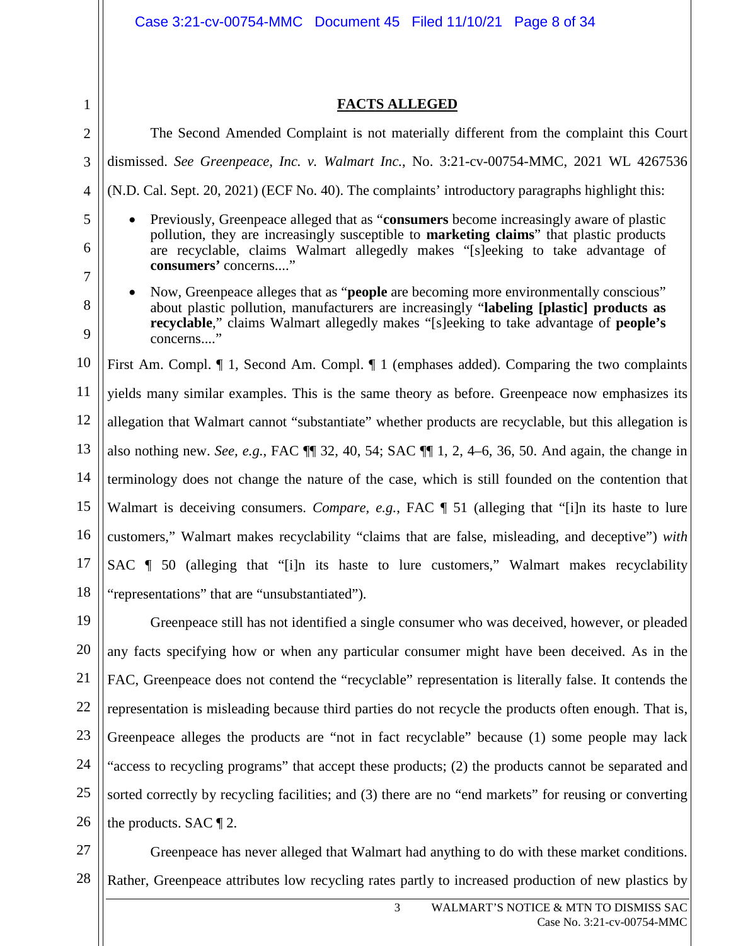|        | Case 3:21-cv-00754-MMC  Document 45  Filed 11/10/21  Page 8 of 34                                                                                                                                                                                                                                                |  |  |
|--------|------------------------------------------------------------------------------------------------------------------------------------------------------------------------------------------------------------------------------------------------------------------------------------------------------------------|--|--|
| 1      | <b>FACTS ALLEGED</b>                                                                                                                                                                                                                                                                                             |  |  |
| 2      | The Second Amended Complaint is not materially different from the complaint this Court                                                                                                                                                                                                                           |  |  |
| 3      | dismissed. See Greenpeace, Inc. v. Walmart Inc., No. 3:21-cv-00754-MMC, 2021 WL 4267536                                                                                                                                                                                                                          |  |  |
| 4      | (N.D. Cal. Sept. 20, 2021) (ECF No. 40). The complaints' introductory paragraphs highlight this:                                                                                                                                                                                                                 |  |  |
|        |                                                                                                                                                                                                                                                                                                                  |  |  |
| 5<br>6 | Previously, Greenpeace alleged that as "consumers become increasingly aware of plastic<br>$\bullet$<br>pollution, they are increasingly susceptible to <b>marketing claims</b> " that plastic products<br>are recyclable, claims Walmart allegedly makes "[s]eeking to take advantage of<br>consumers' concerns" |  |  |
| 7      | Now, Greenpeace alleges that as " <b>people</b> are becoming more environmentally conscious"<br>$\bullet$                                                                                                                                                                                                        |  |  |
| 8<br>9 | about plastic pollution, manufacturers are increasingly "labeling [plastic] products as<br>recyclable," claims Walmart allegedly makes "[s]eeking to take advantage of people's<br>concerns"                                                                                                                     |  |  |
| 10     | First Am. Compl. $\P$ 1, Second Am. Compl. $\P$ 1 (emphases added). Comparing the two complaints                                                                                                                                                                                                                 |  |  |
| 11     | yields many similar examples. This is the same theory as before. Greenpeace now emphasizes its                                                                                                                                                                                                                   |  |  |
| 12     | allegation that Walmart cannot "substantiate" whether products are recyclable, but this allegation is                                                                                                                                                                                                            |  |  |
| 13     | also nothing new. See, e.g., FAC $\P$ 32, 40, 54; SAC $\P$ 1, 2, 4–6, 36, 50. And again, the change in                                                                                                                                                                                                           |  |  |
| 14     | terminology does not change the nature of the case, which is still founded on the contention that                                                                                                                                                                                                                |  |  |
| 15     | Walmart is deceiving consumers. Compare, e.g., FAC   51 (alleging that "[i]n its haste to lure                                                                                                                                                                                                                   |  |  |
| 16     | customers," Walmart makes recyclability "claims that are false, misleading, and deceptive") with                                                                                                                                                                                                                 |  |  |
| 17     | SAC   50 (alleging that "[i]n its haste to lure customers," Walmart makes recyclability                                                                                                                                                                                                                          |  |  |
| 18     | "representations" that are "unsubstantiated").                                                                                                                                                                                                                                                                   |  |  |
| 19     | Greenpeace still has not identified a single consumer who was deceived, however, or pleaded                                                                                                                                                                                                                      |  |  |
| 20     | any facts specifying how or when any particular consumer might have been deceived. As in the                                                                                                                                                                                                                     |  |  |
| 21     | FAC, Greenpeace does not contend the "recyclable" representation is literally false. It contends the                                                                                                                                                                                                             |  |  |
| 22     | representation is misleading because third parties do not recycle the products often enough. That is,                                                                                                                                                                                                            |  |  |
| 23     | Greenpeace alleges the products are "not in fact recyclable" because (1) some people may lack                                                                                                                                                                                                                    |  |  |
| 24     | "access to recycling programs" that accept these products; (2) the products cannot be separated and                                                                                                                                                                                                              |  |  |
| 25     | sorted correctly by recycling facilities; and (3) there are no "end markets" for reusing or converting                                                                                                                                                                                                           |  |  |
| 26     | the products. SAC $\P$ 2.                                                                                                                                                                                                                                                                                        |  |  |
| 27     | Greenpeace has never alleged that Walmart had anything to do with these market conditions.                                                                                                                                                                                                                       |  |  |

28 Rather, Greenpeace attributes low recycling rates partly to increased production of new plastics by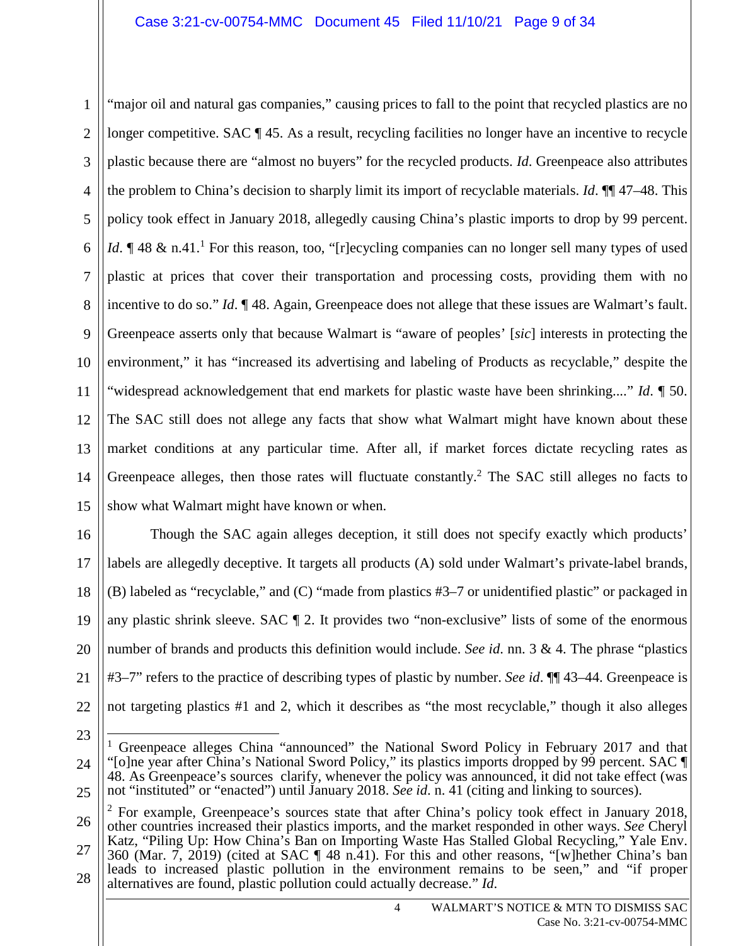1 2 3 4 5 6 7 8 9 10 11 12 13 14 15 "major oil and natural gas companies," causing prices to fall to the point that recycled plastics are no longer competitive. SAC ¶ 45. As a result, recycling facilities no longer have an incentive to recycle plastic because there are "almost no buyers" for the recycled products. *Id*. Greenpeace also attributes the problem to China's decision to sharply limit its import of recyclable materials. *Id*. ¶¶ 47–48. This policy took effect in January 2018, allegedly causing China's plastic imports to drop by 99 percent. *Id*.  $\parallel$  48 & n.41.<sup>1</sup> For this reason, too, "[r]ecycling companies can no longer sell many types of used plastic at prices that cover their transportation and processing costs, providing them with no incentive to do so." *Id*. ¶ 48. Again, Greenpeace does not allege that these issues are Walmart's fault. Greenpeace asserts only that because Walmart is "aware of peoples' [*sic*] interests in protecting the environment," it has "increased its advertising and labeling of Products as recyclable," despite the "widespread acknowledgement that end markets for plastic waste have been shrinking...." *Id*. ¶ 50. The SAC still does not allege any facts that show what Walmart might have known about these market conditions at any particular time. After all, if market forces dictate recycling rates as Greenpeace alleges, then those rates will fluctuate constantly.<sup>2</sup> The SAC still alleges no facts to show what Walmart might have known or when.

16 17 18 19 20 21 22 Though the SAC again alleges deception, it still does not specify exactly which products' labels are allegedly deceptive. It targets all products (A) sold under Walmart's private-label brands, (B) labeled as "recyclable," and (C) "made from plastics #3–7 or unidentified plastic" or packaged in any plastic shrink sleeve. SAC ¶ 2. It provides two "non-exclusive" lists of some of the enormous number of brands and products this definition would include. *See id*. nn. 3 & 4. The phrase "plastics #3–7" refers to the practice of describing types of plastic by number. *See id*. ¶¶ 43–44. Greenpeace is not targeting plastics #1 and 2, which it describes as "the most recyclable," though it also alleges

23

<sup>24</sup> 25 <sup>1</sup> Greenpeace alleges China "announced" the National Sword Policy in February 2017 and that "[o]ne year after China's National Sword Policy," its plastics imports dropped by 99 percent. SAC ¶ 48. As Greenpeace's sources clarify, whenever the policy was announced, it did not take effect (was not "instituted" or "enacted") until January 2018. *See id*. n. 41 (citing and linking to sources).

<sup>26</sup> 27 28  $2^2$  For example, Greenpeace's sources state that after China's policy took effect in January 2018, other countries increased their plastics imports, and the market responded in other ways. *See* Cheryl Katz, "Piling Up: How China's Ban on Importing Waste Has Stalled Global Recycling," Yale Env. 360 (Mar. 7, 2019) (cited at SAC ¶ 48 n.41). For this and other reasons, "[w]hether China's ban leads to increased plastic pollution in the environment remains to be seen," and "if proper alternatives are found, plastic pollution could actually decrease." *Id*.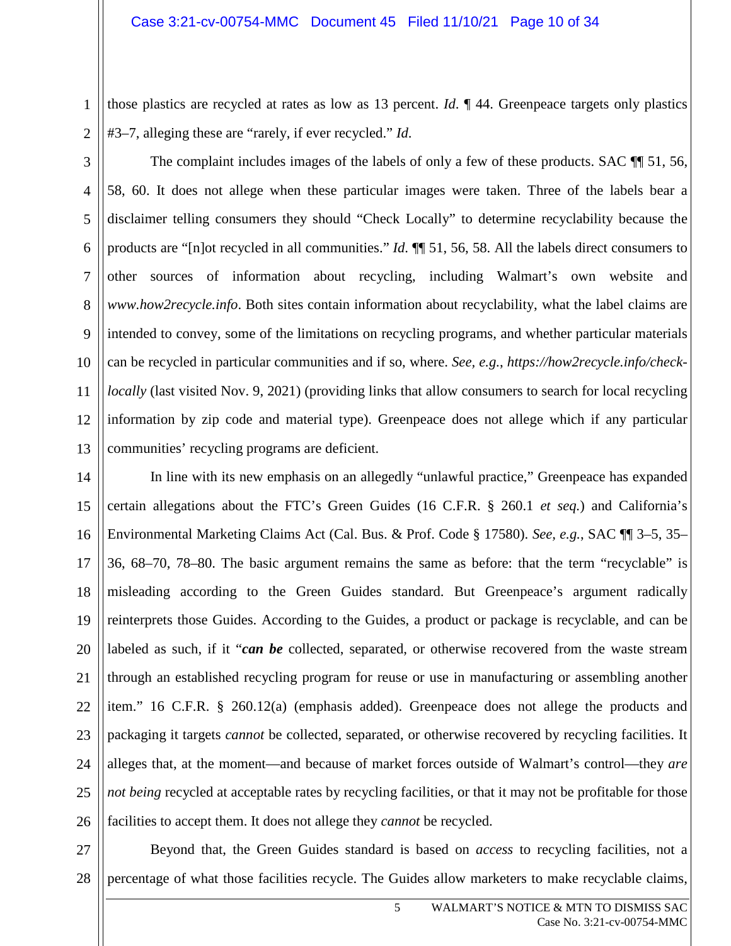2

those plastics are recycled at rates as low as 13 percent. *Id*. ¶ 44. Greenpeace targets only plastics #3–7, alleging these are "rarely, if ever recycled." *Id*.

3 4 5 6 7 8 9 10 11 12 13 The complaint includes images of the labels of only a few of these products. SAC  $\P$  51, 56, 58, 60. It does not allege when these particular images were taken. Three of the labels bear a disclaimer telling consumers they should "Check Locally" to determine recyclability because the products are "[n]ot recycled in all communities." *Id*. ¶¶ 51, 56, 58. All the labels direct consumers to other sources of information about recycling, including Walmart's own website and *www.how2recycle.info*. Both sites contain information about recyclability, what the label claims are intended to convey, some of the limitations on recycling programs, and whether particular materials can be recycled in particular communities and if so, where. *See, e.g.*, *https://how2recycle.info/checklocally* (last visited Nov. 9, 2021) (providing links that allow consumers to search for local recycling information by zip code and material type). Greenpeace does not allege which if any particular communities' recycling programs are deficient.

14 15 16 17 18 19 20 21 22 23 24 25 26 In line with its new emphasis on an allegedly "unlawful practice," Greenpeace has expanded certain allegations about the FTC's Green Guides (16 C.F.R. § 260.1 *et seq.*) and California's Environmental Marketing Claims Act (Cal. Bus. & Prof. Code § 17580). *See, e.g.*, SAC ¶¶ 3–5, 35– 36, 68–70, 78–80. The basic argument remains the same as before: that the term "recyclable" is misleading according to the Green Guides standard. But Greenpeace's argument radically reinterprets those Guides. According to the Guides, a product or package is recyclable, and can be labeled as such, if it "*can be* collected, separated, or otherwise recovered from the waste stream through an established recycling program for reuse or use in manufacturing or assembling another item." 16 C.F.R. § 260.12(a) (emphasis added). Greenpeace does not allege the products and packaging it targets *cannot* be collected, separated, or otherwise recovered by recycling facilities. It alleges that, at the moment—and because of market forces outside of Walmart's control—they *are not being* recycled at acceptable rates by recycling facilities, or that it may not be profitable for those facilities to accept them. It does not allege they *cannot* be recycled.

27 28 Beyond that, the Green Guides standard is based on *access* to recycling facilities, not a percentage of what those facilities recycle. The Guides allow marketers to make recyclable claims,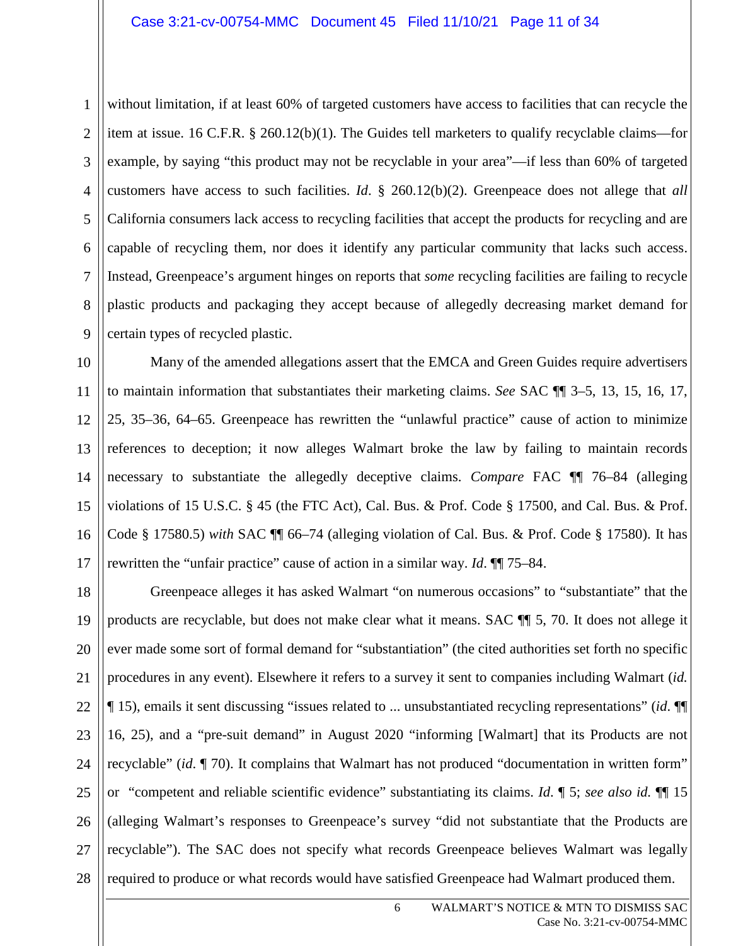2 3 4 5 6 7 8 9 without limitation, if at least 60% of targeted customers have access to facilities that can recycle the item at issue. 16 C.F.R. § 260.12(b)(1). The Guides tell marketers to qualify recyclable claims—for example, by saying "this product may not be recyclable in your area"—if less than 60% of targeted customers have access to such facilities. *Id*. § 260.12(b)(2). Greenpeace does not allege that *all*  California consumers lack access to recycling facilities that accept the products for recycling and are capable of recycling them, nor does it identify any particular community that lacks such access. Instead, Greenpeace's argument hinges on reports that *some* recycling facilities are failing to recycle plastic products and packaging they accept because of allegedly decreasing market demand for certain types of recycled plastic.

10 11 12 13 14 15 16 17 Many of the amended allegations assert that the EMCA and Green Guides require advertisers to maintain information that substantiates their marketing claims. *See* SAC ¶¶ 3–5, 13, 15, 16, 17, 25, 35–36, 64–65. Greenpeace has rewritten the "unlawful practice" cause of action to minimize references to deception; it now alleges Walmart broke the law by failing to maintain records necessary to substantiate the allegedly deceptive claims. *Compare* FAC ¶¶ 76–84 (alleging violations of 15 U.S.C. § 45 (the FTC Act), Cal. Bus. & Prof. Code § 17500, and Cal. Bus. & Prof. Code § 17580.5) *with* SAC ¶¶ 66–74 (alleging violation of Cal. Bus. & Prof. Code § 17580). It has rewritten the "unfair practice" cause of action in a similar way. *Id*. ¶¶ 75–84.

18 19 20 21 22 23 24 25 26 27 28 Greenpeace alleges it has asked Walmart "on numerous occasions" to "substantiate" that the products are recyclable, but does not make clear what it means. SAC ¶¶ 5, 70. It does not allege it ever made some sort of formal demand for "substantiation" (the cited authorities set forth no specific procedures in any event). Elsewhere it refers to a survey it sent to companies including Walmart (*id.* ¶ 15), emails it sent discussing "issues related to ... unsubstantiated recycling representations" (*id*. ¶¶ 16, 25), and a "pre-suit demand" in August 2020 "informing [Walmart] that its Products are not recyclable" (*id*. ¶ 70). It complains that Walmart has not produced "documentation in written form" or "competent and reliable scientific evidence" substantiating its claims. *Id*. ¶ 5; *see also id.* ¶¶ 15 (alleging Walmart's responses to Greenpeace's survey "did not substantiate that the Products are recyclable"). The SAC does not specify what records Greenpeace believes Walmart was legally required to produce or what records would have satisfied Greenpeace had Walmart produced them.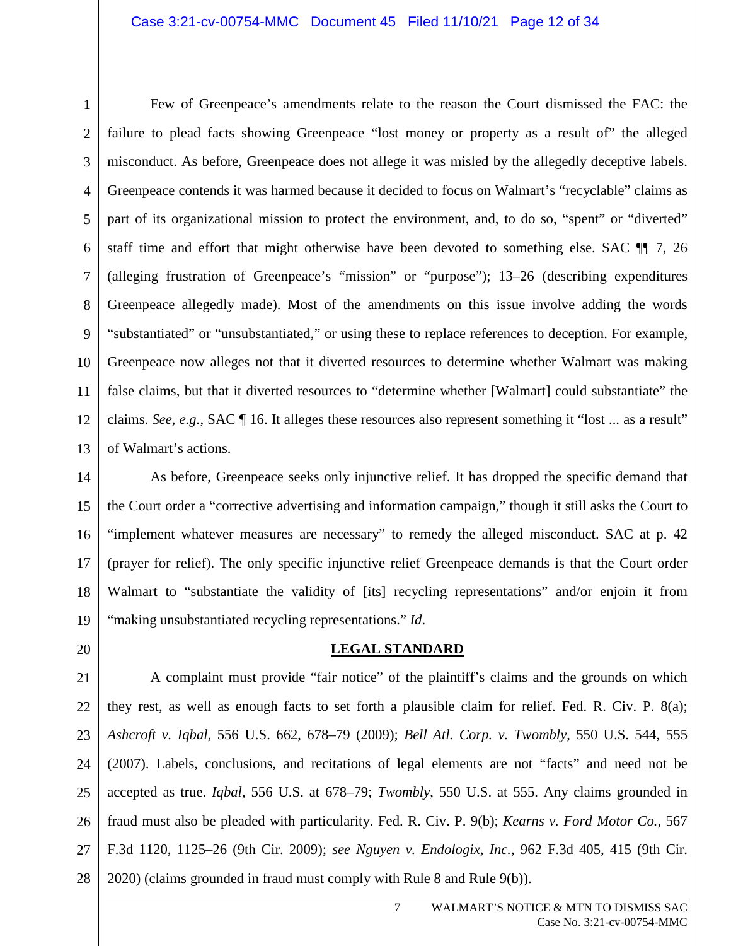1 2 3 4 5 6 7 8 9 10 11 12 13 Few of Greenpeace's amendments relate to the reason the Court dismissed the FAC: the failure to plead facts showing Greenpeace "lost money or property as a result of" the alleged misconduct. As before, Greenpeace does not allege it was misled by the allegedly deceptive labels. Greenpeace contends it was harmed because it decided to focus on Walmart's "recyclable" claims as part of its organizational mission to protect the environment, and, to do so, "spent" or "diverted" staff time and effort that might otherwise have been devoted to something else. SAC ¶¶ 7, 26 (alleging frustration of Greenpeace's "mission" or "purpose"); 13–26 (describing expenditures Greenpeace allegedly made). Most of the amendments on this issue involve adding the words "substantiated" or "unsubstantiated," or using these to replace references to deception. For example, Greenpeace now alleges not that it diverted resources to determine whether Walmart was making false claims, but that it diverted resources to "determine whether [Walmart] could substantiate" the claims. *See, e.g.*, SAC ¶ 16. It alleges these resources also represent something it "lost ... as a result" of Walmart's actions.

14 15 16 17 18 19 As before, Greenpeace seeks only injunctive relief. It has dropped the specific demand that the Court order a "corrective advertising and information campaign," though it still asks the Court to "implement whatever measures are necessary" to remedy the alleged misconduct. SAC at p. 42 (prayer for relief). The only specific injunctive relief Greenpeace demands is that the Court order Walmart to "substantiate the validity of [its] recycling representations" and/or enjoin it from "making unsubstantiated recycling representations." *Id*.

# **LEGAL STANDARD**

20

21 22 23 24 25 26 27 28 A complaint must provide "fair notice" of the plaintiff's claims and the grounds on which they rest, as well as enough facts to set forth a plausible claim for relief. Fed. R. Civ. P. 8(a); *Ashcroft v. Iqbal*, 556 U.S. 662, 678–79 (2009); *Bell Atl. Corp. v. Twombly*, 550 U.S. 544, 555 (2007). Labels, conclusions, and recitations of legal elements are not "facts" and need not be accepted as true. *Iqbal*, 556 U.S. at 678–79; *Twombly*, 550 U.S. at 555. Any claims grounded in fraud must also be pleaded with particularity. Fed. R. Civ. P. 9(b); *Kearns v. Ford Motor Co.*, 567 F.3d 1120, 1125–26 (9th Cir. 2009); *see Nguyen v. Endologix, Inc.*, 962 F.3d 405, 415 (9th Cir. 2020) (claims grounded in fraud must comply with Rule 8 and Rule 9(b)).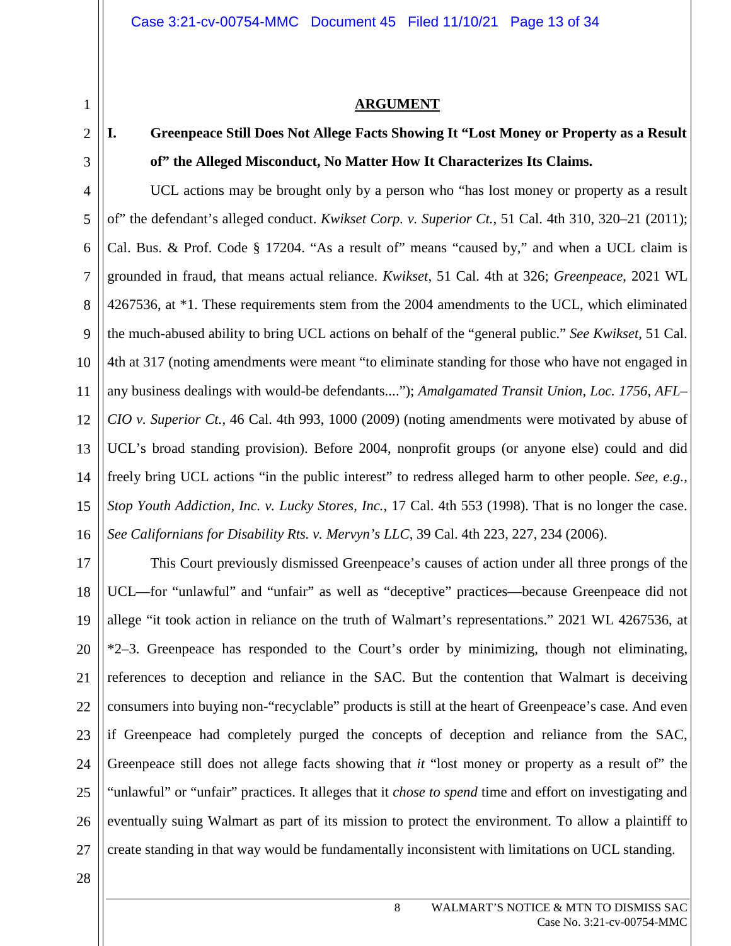# **ARGUMENT**

# **I. Greenpeace Still Does Not Allege Facts Showing It "Lost Money or Property as a Result of" the Alleged Misconduct, No Matter How It Characterizes Its Claims.**

4 5 6 7 8 9 10 11 12 13 14 15 16 UCL actions may be brought only by a person who "has lost money or property as a result of" the defendant's alleged conduct. *Kwikset Corp. v. Superior Ct.*, 51 Cal. 4th 310, 320–21 (2011); Cal. Bus. & Prof. Code § 17204. "As a result of" means "caused by," and when a UCL claim is grounded in fraud, that means actual reliance. *Kwikset*, 51 Cal. 4th at 326; *Greenpeace*, 2021 WL 4267536, at \*1. These requirements stem from the 2004 amendments to the UCL, which eliminated the much-abused ability to bring UCL actions on behalf of the "general public." *See Kwikset*, 51 Cal. 4th at 317 (noting amendments were meant "to eliminate standing for those who have not engaged in any business dealings with would-be defendants...."); *Amalgamated Transit Union, Loc. 1756, AFL– CIO v. Superior Ct.*, 46 Cal. 4th 993, 1000 (2009) (noting amendments were motivated by abuse of UCL's broad standing provision). Before 2004, nonprofit groups (or anyone else) could and did freely bring UCL actions "in the public interest" to redress alleged harm to other people. *See, e.g.*, *Stop Youth Addiction, Inc. v. Lucky Stores, Inc.*, 17 Cal. 4th 553 (1998). That is no longer the case. *See Californians for Disability Rts. v. Mervyn's LLC*, 39 Cal. 4th 223, 227, 234 (2006).

17 18 19 20 21 22 23 24 25 26 27 This Court previously dismissed Greenpeace's causes of action under all three prongs of the UCL—for "unlawful" and "unfair" as well as "deceptive" practices—because Greenpeace did not allege "it took action in reliance on the truth of Walmart's representations." 2021 WL 4267536, at \*2–3. Greenpeace has responded to the Court's order by minimizing, though not eliminating, references to deception and reliance in the SAC. But the contention that Walmart is deceiving consumers into buying non-"recyclable" products is still at the heart of Greenpeace's case. And even if Greenpeace had completely purged the concepts of deception and reliance from the SAC, Greenpeace still does not allege facts showing that *it* "lost money or property as a result of" the "unlawful" or "unfair" practices. It alleges that it *chose to spend* time and effort on investigating and eventually suing Walmart as part of its mission to protect the environment. To allow a plaintiff to create standing in that way would be fundamentally inconsistent with limitations on UCL standing.

28

1

2

3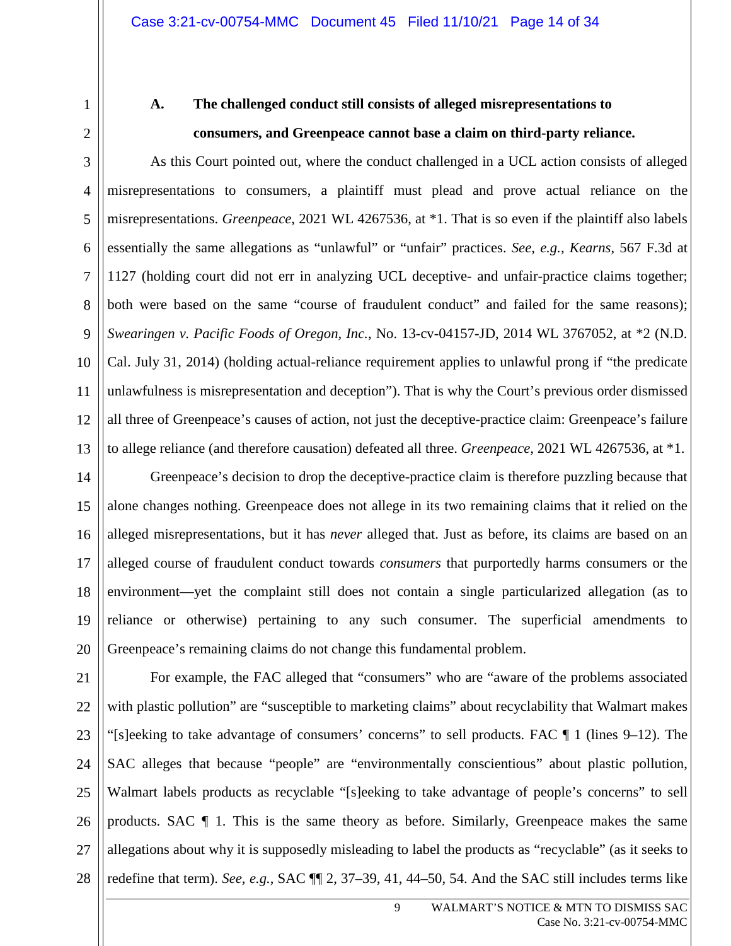3

4

5

6

7

8

9

10

11

12

13

1

# **A. The challenged conduct still consists of alleged misrepresentations to consumers, and Greenpeace cannot base a claim on third-party reliance.**

As this Court pointed out, where the conduct challenged in a UCL action consists of alleged misrepresentations to consumers, a plaintiff must plead and prove actual reliance on the misrepresentations. *Greenpeace*, 2021 WL 4267536, at \*1. That is so even if the plaintiff also labels essentially the same allegations as "unlawful" or "unfair" practices. *See, e.g.*, *Kearns*, 567 F.3d at 1127 (holding court did not err in analyzing UCL deceptive- and unfair-practice claims together; both were based on the same "course of fraudulent conduct" and failed for the same reasons); *Swearingen v. Pacific Foods of Oregon, Inc.*, No. 13-cv-04157-JD, 2014 WL 3767052, at \*2 (N.D. Cal. July 31, 2014) (holding actual-reliance requirement applies to unlawful prong if "the predicate unlawfulness is misrepresentation and deception"). That is why the Court's previous order dismissed all three of Greenpeace's causes of action, not just the deceptive-practice claim: Greenpeace's failure to allege reliance (and therefore causation) defeated all three. *Greenpeace*, 2021 WL 4267536, at \*1.

14 15 16 17 18 19 20 Greenpeace's decision to drop the deceptive-practice claim is therefore puzzling because that alone changes nothing. Greenpeace does not allege in its two remaining claims that it relied on the alleged misrepresentations, but it has *never* alleged that. Just as before, its claims are based on an alleged course of fraudulent conduct towards *consumers* that purportedly harms consumers or the environment—yet the complaint still does not contain a single particularized allegation (as to reliance or otherwise) pertaining to any such consumer. The superficial amendments to Greenpeace's remaining claims do not change this fundamental problem.

21 22 23 24 25 26 27 28 For example, the FAC alleged that "consumers" who are "aware of the problems associated with plastic pollution" are "susceptible to marketing claims" about recyclability that Walmart makes "[s]eeking to take advantage of consumers' concerns" to sell products. FAC ¶ 1 (lines 9–12). The SAC alleges that because "people" are "environmentally conscientious" about plastic pollution, Walmart labels products as recyclable "[s]eeking to take advantage of people's concerns" to sell products. SAC ¶ 1. This is the same theory as before. Similarly, Greenpeace makes the same allegations about why it is supposedly misleading to label the products as "recyclable" (as it seeks to redefine that term). *See, e.g.*, SAC ¶¶ 2, 37–39, 41, 44–50, 54. And the SAC still includes terms like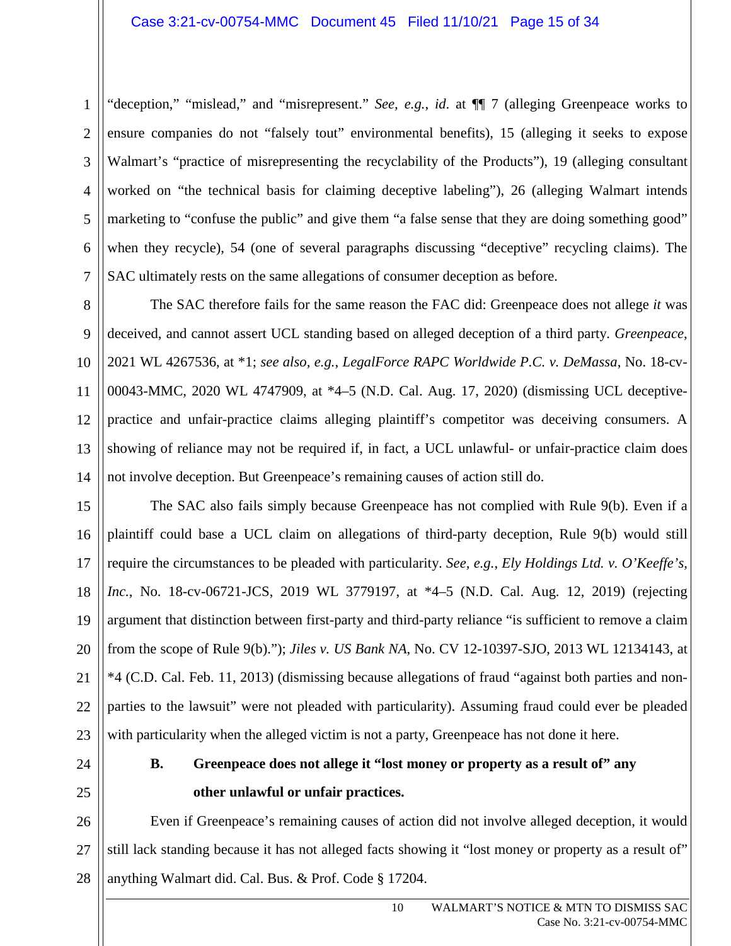3 4 "deception," "mislead," and "misrepresent." *See, e.g.*, *id*. at ¶¶ 7 (alleging Greenpeace works to ensure companies do not "falsely tout" environmental benefits), 15 (alleging it seeks to expose Walmart's "practice of misrepresenting the recyclability of the Products"), 19 (alleging consultant worked on "the technical basis for claiming deceptive labeling"), 26 (alleging Walmart intends marketing to "confuse the public" and give them "a false sense that they are doing something good" when they recycle), 54 (one of several paragraphs discussing "deceptive" recycling claims). The SAC ultimately rests on the same allegations of consumer deception as before.

The SAC therefore fails for the same reason the FAC did: Greenpeace does not allege *it* was deceived, and cannot assert UCL standing based on alleged deception of a third party. *Greenpeace*, 2021 WL 4267536, at \*1; *see also, e.g.*, *LegalForce RAPC Worldwide P.C. v. DeMassa*, No. 18-cv-00043-MMC, 2020 WL 4747909, at \*4–5 (N.D. Cal. Aug. 17, 2020) (dismissing UCL deceptivepractice and unfair-practice claims alleging plaintiff's competitor was deceiving consumers. A showing of reliance may not be required if, in fact, a UCL unlawful- or unfair-practice claim does not involve deception. But Greenpeace's remaining causes of action still do.

The SAC also fails simply because Greenpeace has not complied with Rule 9(b). Even if a plaintiff could base a UCL claim on allegations of third-party deception, Rule 9(b) would still require the circumstances to be pleaded with particularity. *See, e.g.*, *Ely Holdings Ltd. v. O'Keeffe's, Inc.*, No. 18-cv-06721-JCS, 2019 WL 3779197, at \*4–5 (N.D. Cal. Aug. 12, 2019) (rejecting argument that distinction between first-party and third-party reliance "is sufficient to remove a claim from the scope of Rule 9(b)."); *Jiles v. US Bank NA*, No. CV 12-10397-SJO, 2013 WL 12134143, at \*4 (C.D. Cal. Feb. 11, 2013) (dismissing because allegations of fraud "against both parties and nonparties to the lawsuit" were not pleaded with particularity). Assuming fraud could ever be pleaded with particularity when the alleged victim is not a party, Greenpeace has not done it here.

# **B. Greenpeace does not allege it "lost money or property as a result of" any other unlawful or unfair practices.**

26 27 28 Even if Greenpeace's remaining causes of action did not involve alleged deception, it would still lack standing because it has not alleged facts showing it "lost money or property as a result of" anything Walmart did. Cal. Bus. & Prof. Code § 17204.

1

2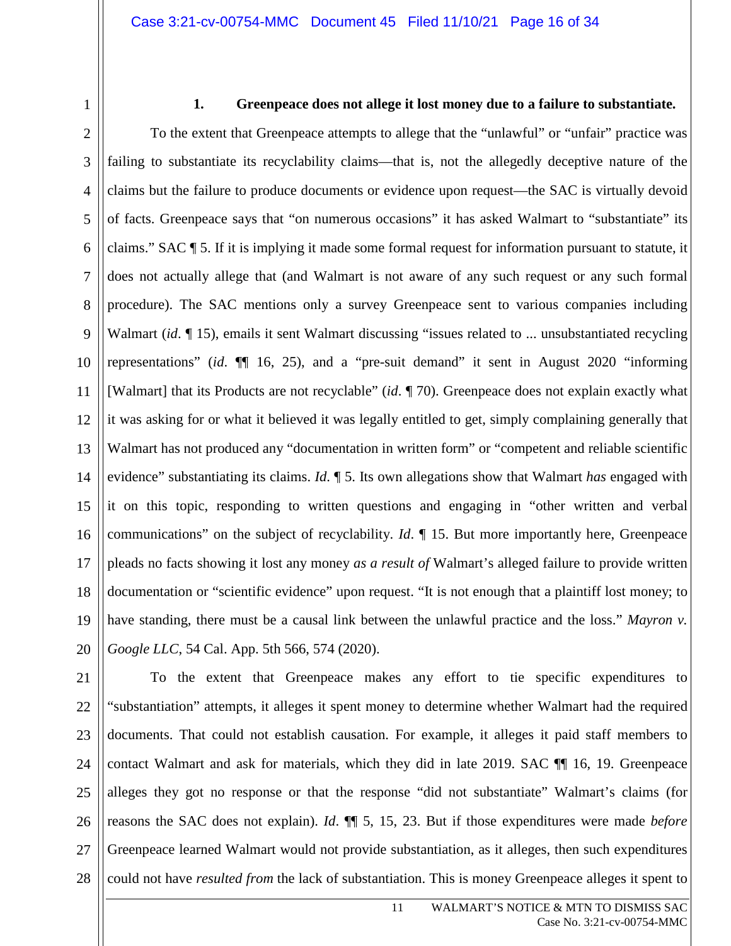# **1. Greenpeace does not allege it lost money due to a failure to substantiate.**

4 5 6 7 8 9 10 11 12 13 14 15 16 17 18 19 20 To the extent that Greenpeace attempts to allege that the "unlawful" or "unfair" practice was failing to substantiate its recyclability claims—that is, not the allegedly deceptive nature of the claims but the failure to produce documents or evidence upon request—the SAC is virtually devoid of facts. Greenpeace says that "on numerous occasions" it has asked Walmart to "substantiate" its claims." SAC ¶ 5. If it is implying it made some formal request for information pursuant to statute, it does not actually allege that (and Walmart is not aware of any such request or any such formal procedure). The SAC mentions only a survey Greenpeace sent to various companies including Walmart (*id*. 15), emails it sent Walmart discussing "issues related to ... unsubstantiated recycling representations" (*id*. ¶¶ 16, 25), and a "pre-suit demand" it sent in August 2020 "informing [Walmart] that its Products are not recyclable" (*id*. ¶ 70). Greenpeace does not explain exactly what it was asking for or what it believed it was legally entitled to get, simply complaining generally that Walmart has not produced any "documentation in written form" or "competent and reliable scientific evidence" substantiating its claims. *Id*. ¶ 5. Its own allegations show that Walmart *has* engaged with it on this topic, responding to written questions and engaging in "other written and verbal communications" on the subject of recyclability. *Id*. ¶ 15. But more importantly here, Greenpeace pleads no facts showing it lost any money *as a result of* Walmart's alleged failure to provide written documentation or "scientific evidence" upon request. "It is not enough that a plaintiff lost money; to have standing, there must be a causal link between the unlawful practice and the loss." *Mayron v. Google LLC*, 54 Cal. App. 5th 566, 574 (2020).

28 To the extent that Greenpeace makes any effort to tie specific expenditures to "substantiation" attempts, it alleges it spent money to determine whether Walmart had the required documents. That could not establish causation. For example, it alleges it paid staff members to contact Walmart and ask for materials, which they did in late 2019. SAC ¶¶ 16, 19. Greenpeace alleges they got no response or that the response "did not substantiate" Walmart's claims (for reasons the SAC does not explain). *Id*. ¶¶ 5, 15, 23. But if those expenditures were made *before* Greenpeace learned Walmart would not provide substantiation, as it alleges, then such expenditures could not have *resulted from* the lack of substantiation. This is money Greenpeace alleges it spent to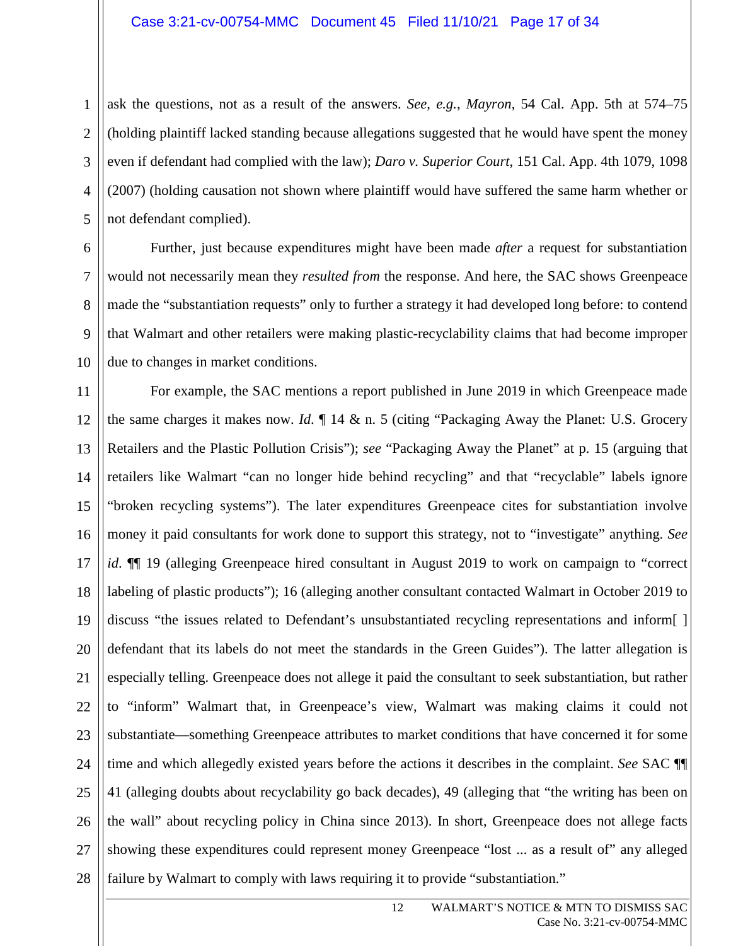2

4

6

7

8

9

10

3 5 ask the questions, not as a result of the answers. *See, e.g.*, *Mayron*, 54 Cal. App. 5th at 574–75 (holding plaintiff lacked standing because allegations suggested that he would have spent the money even if defendant had complied with the law); *Daro v. Superior Court*, 151 Cal. App. 4th 1079, 1098 (2007) (holding causation not shown where plaintiff would have suffered the same harm whether or not defendant complied).

Further, just because expenditures might have been made *after* a request for substantiation would not necessarily mean they *resulted from* the response. And here, the SAC shows Greenpeace made the "substantiation requests" only to further a strategy it had developed long before: to contend that Walmart and other retailers were making plastic-recyclability claims that had become improper due to changes in market conditions.

11 12 13 14 15 16 17 18 19 20 21 22 23 24 25 26 27 28 For example, the SAC mentions a report published in June 2019 in which Greenpeace made the same charges it makes now. *Id*. ¶ 14 & n. 5 (citing "Packaging Away the Planet: U.S. Grocery Retailers and the Plastic Pollution Crisis"); *see* "Packaging Away the Planet" at p. 15 (arguing that retailers like Walmart "can no longer hide behind recycling" and that "recyclable" labels ignore "broken recycling systems"). The later expenditures Greenpeace cites for substantiation involve money it paid consultants for work done to support this strategy, not to "investigate" anything. *See id*. ¶¶ 19 (alleging Greenpeace hired consultant in August 2019 to work on campaign to "correct labeling of plastic products"); 16 (alleging another consultant contacted Walmart in October 2019 to discuss "the issues related to Defendant's unsubstantiated recycling representations and inform[ ] defendant that its labels do not meet the standards in the Green Guides"). The latter allegation is especially telling. Greenpeace does not allege it paid the consultant to seek substantiation, but rather to "inform" Walmart that, in Greenpeace's view, Walmart was making claims it could not substantiate—something Greenpeace attributes to market conditions that have concerned it for some time and which allegedly existed years before the actions it describes in the complaint. *See* SAC ¶¶ 41 (alleging doubts about recyclability go back decades), 49 (alleging that "the writing has been on the wall" about recycling policy in China since 2013). In short, Greenpeace does not allege facts showing these expenditures could represent money Greenpeace "lost ... as a result of" any alleged failure by Walmart to comply with laws requiring it to provide "substantiation."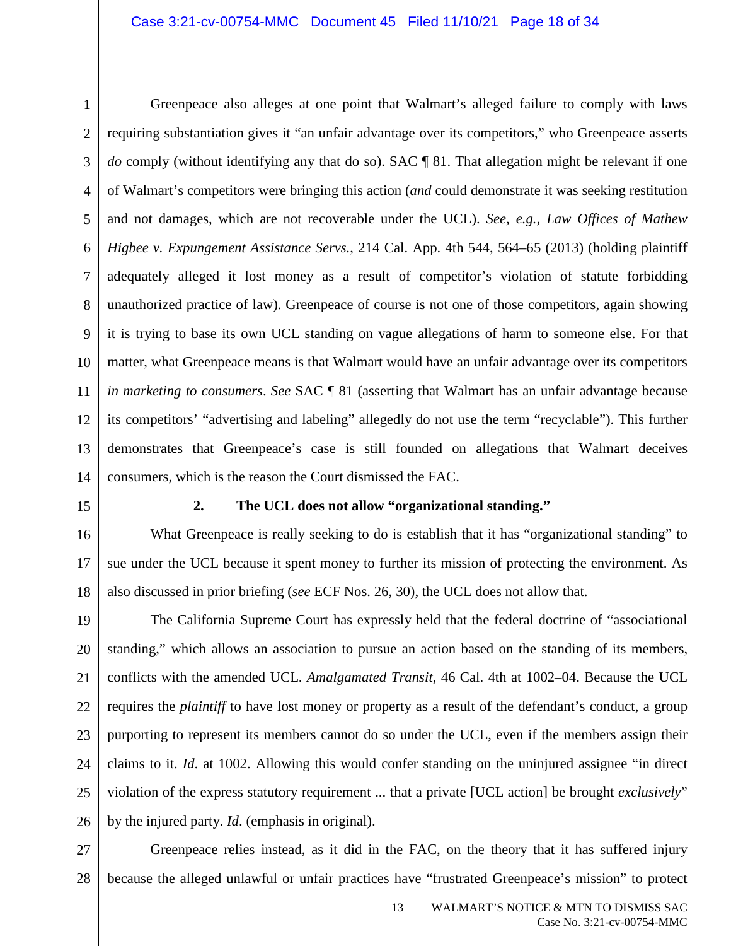1 5 6 7 8 9 10 11 12 13 14 Greenpeace also alleges at one point that Walmart's alleged failure to comply with laws requiring substantiation gives it "an unfair advantage over its competitors," who Greenpeace asserts *do* comply (without identifying any that do so). SAC ¶ 81. That allegation might be relevant if one of Walmart's competitors were bringing this action (*and* could demonstrate it was seeking restitution and not damages, which are not recoverable under the UCL). *See, e.g., Law Offices of Mathew Higbee v. Expungement Assistance Servs.*, 214 Cal. App. 4th 544, 564–65 (2013) (holding plaintiff adequately alleged it lost money as a result of competitor's violation of statute forbidding unauthorized practice of law). Greenpeace of course is not one of those competitors, again showing it is trying to base its own UCL standing on vague allegations of harm to someone else. For that matter, what Greenpeace means is that Walmart would have an unfair advantage over its competitors *in marketing to consumers*. *See* SAC ¶ 81 (asserting that Walmart has an unfair advantage because its competitors' "advertising and labeling" allegedly do not use the term "recyclable"). This further demonstrates that Greenpeace's case is still founded on allegations that Walmart deceives consumers, which is the reason the Court dismissed the FAC.

15

# **2. The UCL does not allow "organizational standing."**

16 17 18 What Greenpeace is really seeking to do is establish that it has "organizational standing" to sue under the UCL because it spent money to further its mission of protecting the environment. As also discussed in prior briefing (*see* ECF Nos. 26, 30), the UCL does not allow that.

19 20 21 22 23 24 25 26 The California Supreme Court has expressly held that the federal doctrine of "associational standing," which allows an association to pursue an action based on the standing of its members, conflicts with the amended UCL. *Amalgamated Transit*, 46 Cal. 4th at 1002–04. Because the UCL requires the *plaintiff* to have lost money or property as a result of the defendant's conduct, a group purporting to represent its members cannot do so under the UCL, even if the members assign their claims to it. *Id*. at 1002. Allowing this would confer standing on the uninjured assignee "in direct violation of the express statutory requirement ... that a private [UCL action] be brought *exclusively*" by the injured party. *Id*. (emphasis in original).

27 28 Greenpeace relies instead, as it did in the FAC, on the theory that it has suffered injury because the alleged unlawful or unfair practices have "frustrated Greenpeace's mission" to protect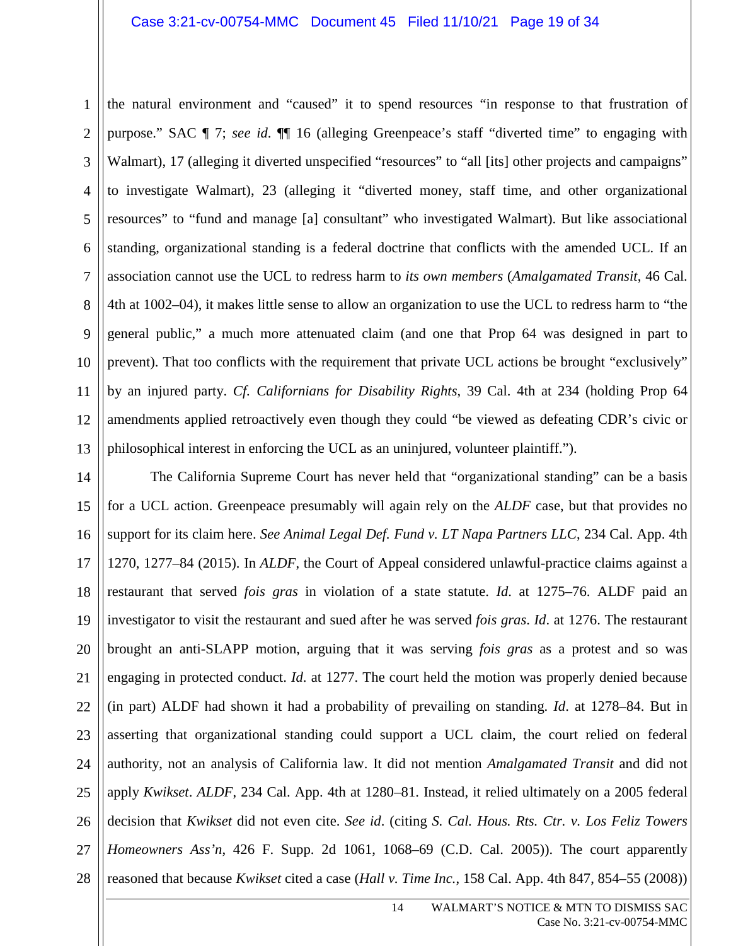1 2 3 4 5 6 7 8 9 10 11 12 13 the natural environment and "caused" it to spend resources "in response to that frustration of purpose." SAC ¶ 7; *see id*. ¶¶ 16 (alleging Greenpeace's staff "diverted time" to engaging with Walmart), 17 (alleging it diverted unspecified "resources" to "all [its] other projects and campaigns" to investigate Walmart), 23 (alleging it "diverted money, staff time, and other organizational resources" to "fund and manage [a] consultant" who investigated Walmart). But like associational standing, organizational standing is a federal doctrine that conflicts with the amended UCL. If an association cannot use the UCL to redress harm to *its own members* (*Amalgamated Transit*, 46 Cal. 4th at 1002–04), it makes little sense to allow an organization to use the UCL to redress harm to "the general public," a much more attenuated claim (and one that Prop 64 was designed in part to prevent). That too conflicts with the requirement that private UCL actions be brought "exclusively" by an injured party. *Cf. Californians for Disability Rights*, 39 Cal. 4th at 234 (holding Prop 64 amendments applied retroactively even though they could "be viewed as defeating CDR's civic or philosophical interest in enforcing the UCL as an uninjured, volunteer plaintiff.").

14 15 16 17 18 19 20 21 22 23 24 25 26 27 28 The California Supreme Court has never held that "organizational standing" can be a basis for a UCL action. Greenpeace presumably will again rely on the *ALDF* case, but that provides no support for its claim here. *See Animal Legal Def. Fund v. LT Napa Partners LLC*, 234 Cal. App. 4th 1270, 1277–84 (2015). In *ALDF*, the Court of Appeal considered unlawful-practice claims against a restaurant that served *fois gras* in violation of a state statute. *Id*. at 1275–76. ALDF paid an investigator to visit the restaurant and sued after he was served *fois gras*. *Id*. at 1276. The restaurant brought an anti-SLAPP motion, arguing that it was serving *fois gras* as a protest and so was engaging in protected conduct. *Id*. at 1277. The court held the motion was properly denied because (in part) ALDF had shown it had a probability of prevailing on standing. *Id*. at 1278–84. But in asserting that organizational standing could support a UCL claim, the court relied on federal authority, not an analysis of California law. It did not mention *Amalgamated Transit* and did not apply *Kwikset*. *ALDF*, 234 Cal. App. 4th at 1280–81. Instead, it relied ultimately on a 2005 federal decision that *Kwikset* did not even cite. *See id*. (citing *S. Cal. Hous. Rts. Ctr. v. Los Feliz Towers Homeowners Ass'n*, 426 F. Supp. 2d 1061, 1068–69 (C.D. Cal. 2005)). The court apparently reasoned that because *Kwikset* cited a case (*Hall v. Time Inc.*, 158 Cal. App. 4th 847, 854–55 (2008))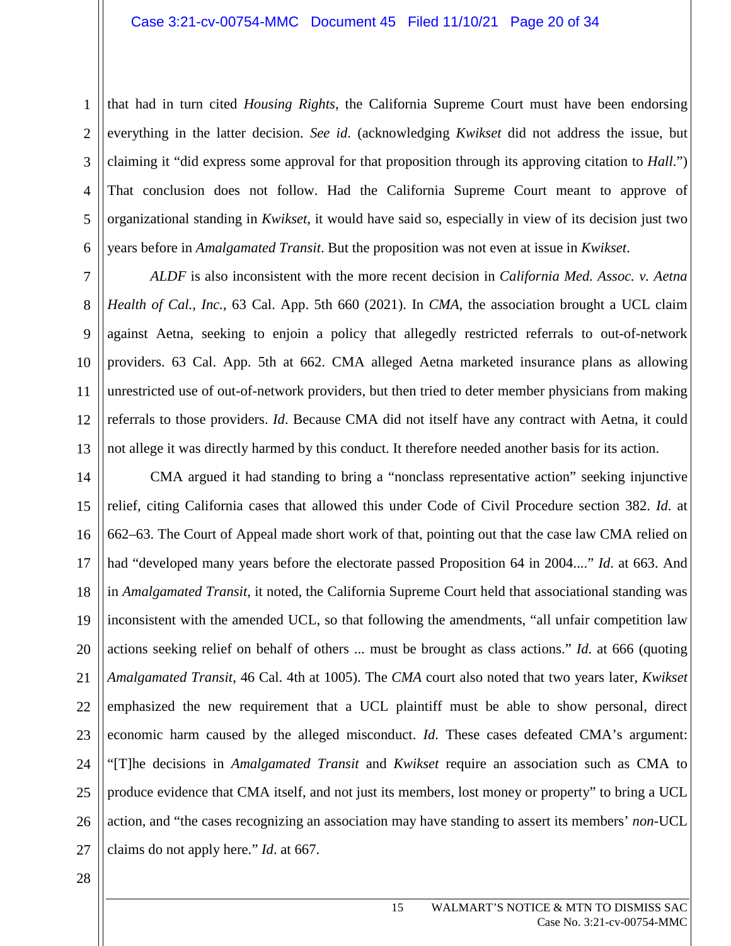that had in turn cited *Housing Rights*, the California Supreme Court must have been endorsing everything in the latter decision. *See id*. (acknowledging *Kwikset* did not address the issue, but claiming it "did express some approval for that proposition through its approving citation to *Hall*.") That conclusion does not follow. Had the California Supreme Court meant to approve of organizational standing in *Kwikset*, it would have said so, especially in view of its decision just two years before in *Amalgamated Transit*. But the proposition was not even at issue in *Kwikset*.

*ALDF* is also inconsistent with the more recent decision in *California Med. Assoc. v. Aetna Health of Cal., Inc.*, 63 Cal. App. 5th 660 (2021). In *CMA*, the association brought a UCL claim against Aetna, seeking to enjoin a policy that allegedly restricted referrals to out-of-network providers. 63 Cal. App. 5th at 662. CMA alleged Aetna marketed insurance plans as allowing unrestricted use of out-of-network providers, but then tried to deter member physicians from making referrals to those providers. *Id*. Because CMA did not itself have any contract with Aetna, it could not allege it was directly harmed by this conduct. It therefore needed another basis for its action.

14 15 16 17 18 19 20 21 22 23 24 25 26 27 CMA argued it had standing to bring a "nonclass representative action" seeking injunctive relief, citing California cases that allowed this under Code of Civil Procedure section 382. *Id*. at 662–63. The Court of Appeal made short work of that, pointing out that the case law CMA relied on had "developed many years before the electorate passed Proposition 64 in 2004...." *Id*. at 663. And in *Amalgamated Transit*, it noted, the California Supreme Court held that associational standing was inconsistent with the amended UCL, so that following the amendments, "all unfair competition law actions seeking relief on behalf of others ... must be brought as class actions." *Id*. at 666 (quoting *Amalgamated Transit*, 46 Cal. 4th at 1005). The *CMA* court also noted that two years later, *Kwikset*  emphasized the new requirement that a UCL plaintiff must be able to show personal, direct economic harm caused by the alleged misconduct. *Id*. These cases defeated CMA's argument: "[T]he decisions in *Amalgamated Transit* and *Kwikset* require an association such as CMA to produce evidence that CMA itself, and not just its members, lost money or property" to bring a UCL action, and "the cases recognizing an association may have standing to assert its members' *non-*UCL claims do not apply here." *Id*. at 667.

28

1

2

3

4

5

6

7

8

9

10

11

12

13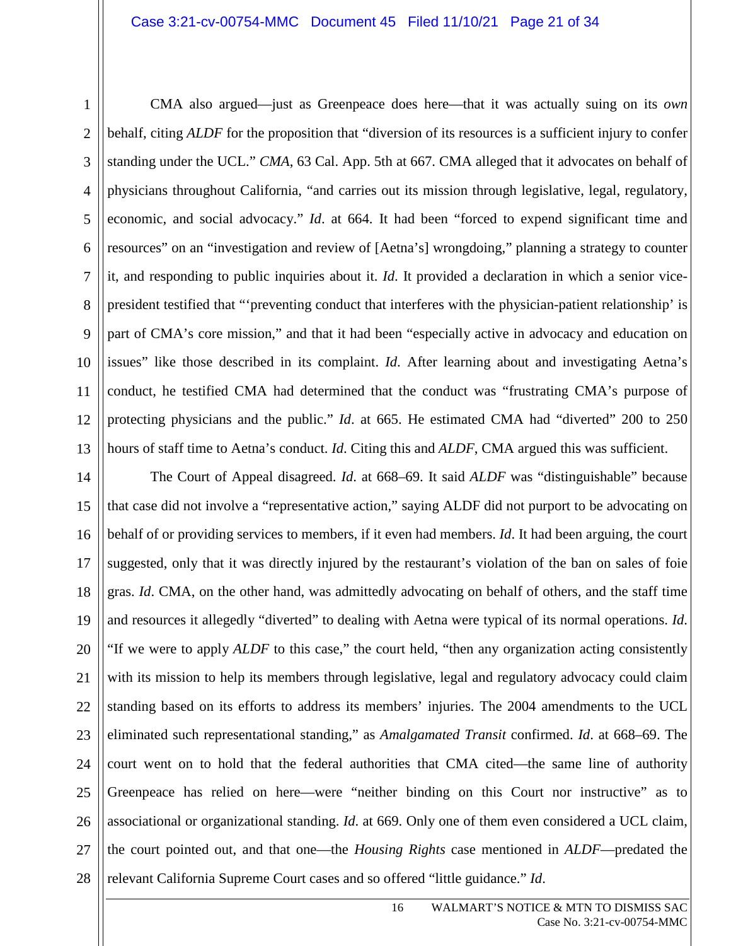11

1

4 5 6 7 8 9 10 12 13 CMA also argued—just as Greenpeace does here—that it was actually suing on its *own*  behalf, citing *ALDF* for the proposition that "diversion of its resources is a sufficient injury to confer standing under the UCL." *CMA*, 63 Cal. App. 5th at 667. CMA alleged that it advocates on behalf of physicians throughout California, "and carries out its mission through legislative, legal, regulatory, economic, and social advocacy." *Id*. at 664. It had been "forced to expend significant time and resources" on an "investigation and review of [Aetna's] wrongdoing," planning a strategy to counter it, and responding to public inquiries about it. *Id*. It provided a declaration in which a senior vicepresident testified that "'preventing conduct that interferes with the physician-patient relationship' is part of CMA's core mission," and that it had been "especially active in advocacy and education on issues" like those described in its complaint. *Id*. After learning about and investigating Aetna's conduct, he testified CMA had determined that the conduct was "frustrating CMA's purpose of protecting physicians and the public." *Id*. at 665. He estimated CMA had "diverted" 200 to 250 hours of staff time to Aetna's conduct. *Id*. Citing this and *ALDF*, CMA argued this was sufficient.

14 15 16 17 18 19 20 21 22 23 24 25 26 27 28 The Court of Appeal disagreed. *Id*. at 668–69. It said *ALDF* was "distinguishable" because that case did not involve a "representative action," saying ALDF did not purport to be advocating on behalf of or providing services to members, if it even had members. *Id*. It had been arguing, the court suggested, only that it was directly injured by the restaurant's violation of the ban on sales of foie gras. *Id*. CMA, on the other hand, was admittedly advocating on behalf of others, and the staff time and resources it allegedly "diverted" to dealing with Aetna were typical of its normal operations. *Id*. "If we were to apply *ALDF* to this case," the court held, "then any organization acting consistently with its mission to help its members through legislative, legal and regulatory advocacy could claim standing based on its efforts to address its members' injuries. The 2004 amendments to the UCL eliminated such representational standing," as *Amalgamated Transit* confirmed. *Id*. at 668–69. The court went on to hold that the federal authorities that CMA cited—the same line of authority Greenpeace has relied on here—were "neither binding on this Court nor instructive" as to associational or organizational standing. *Id*. at 669. Only one of them even considered a UCL claim, the court pointed out, and that one—the *Housing Rights* case mentioned in *ALDF*—predated the relevant California Supreme Court cases and so offered "little guidance." *Id*.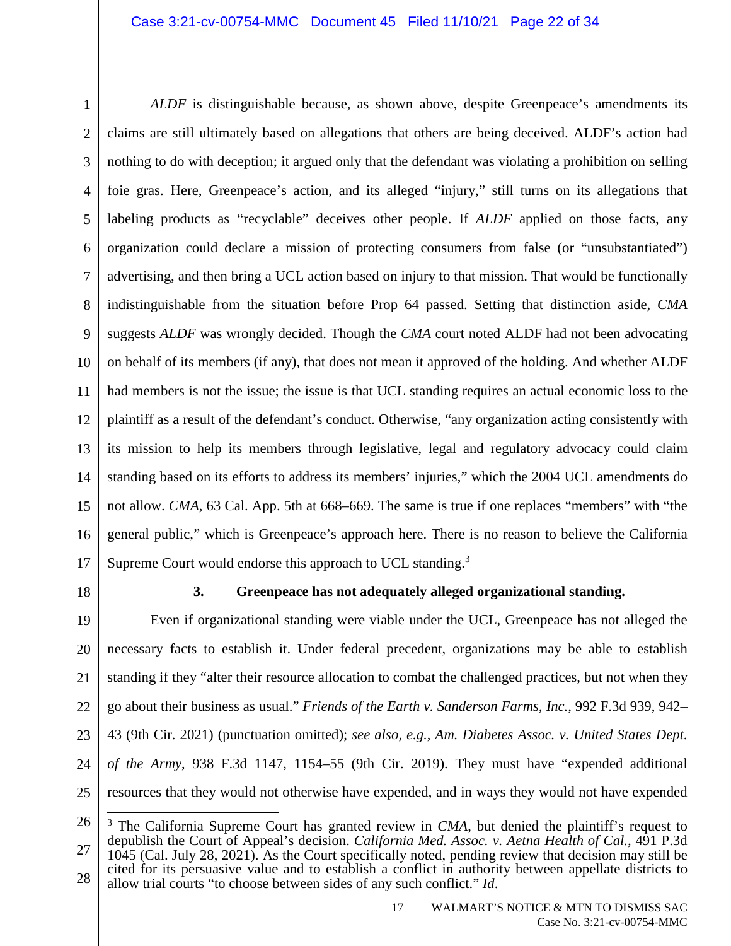1 2 3 4 5 6 7 8 9 10 11 12 13 14 15 16 17 *ALDF* is distinguishable because, as shown above, despite Greenpeace's amendments its claims are still ultimately based on allegations that others are being deceived. ALDF's action had nothing to do with deception; it argued only that the defendant was violating a prohibition on selling foie gras. Here, Greenpeace's action, and its alleged "injury," still turns on its allegations that labeling products as "recyclable" deceives other people. If *ALDF* applied on those facts, any organization could declare a mission of protecting consumers from false (or "unsubstantiated") advertising, and then bring a UCL action based on injury to that mission. That would be functionally indistinguishable from the situation before Prop 64 passed. Setting that distinction aside, *CMA* suggests *ALDF* was wrongly decided. Though the *CMA* court noted ALDF had not been advocating on behalf of its members (if any), that does not mean it approved of the holding. And whether ALDF had members is not the issue; the issue is that UCL standing requires an actual economic loss to the plaintiff as a result of the defendant's conduct. Otherwise, "any organization acting consistently with its mission to help its members through legislative, legal and regulatory advocacy could claim standing based on its efforts to address its members' injuries," which the 2004 UCL amendments do not allow. *CMA*, 63 Cal. App. 5th at 668–669. The same is true if one replaces "members" with "the general public," which is Greenpeace's approach here. There is no reason to believe the California Supreme Court would endorse this approach to UCL standing.<sup>3</sup>

18

# **3. Greenpeace has not adequately alleged organizational standing.**

19 20 21 22 23 24 25 Even if organizational standing were viable under the UCL, Greenpeace has not alleged the necessary facts to establish it. Under federal precedent, organizations may be able to establish standing if they "alter their resource allocation to combat the challenged practices, but not when they go about their business as usual." *Friends of the Earth v. Sanderson Farms, Inc.*, 992 F.3d 939, 942– 43 (9th Cir. 2021) (punctuation omitted); *see also, e.g.*, *Am. Diabetes Assoc. v. United States Dept. of the Army*, 938 F.3d 1147, 1154–55 (9th Cir. 2019). They must have "expended additional resources that they would not otherwise have expended, and in ways they would not have expended

<sup>26</sup> 27 28 <sup>3</sup> The California Supreme Court has granted review in *CMA*, but denied the plaintiff's request to depublish the Court of Appeal's decision. *California Med. Assoc. v. Aetna Health of Cal.*, 491 P.3d 1045 (Cal. July 28, 2021). As the Court specifically noted, pending review that decision may still be cited for its persuasive value and to establish a conflict in authority between appellate districts to allow trial courts "to choose between sides of any such conflict." *Id*.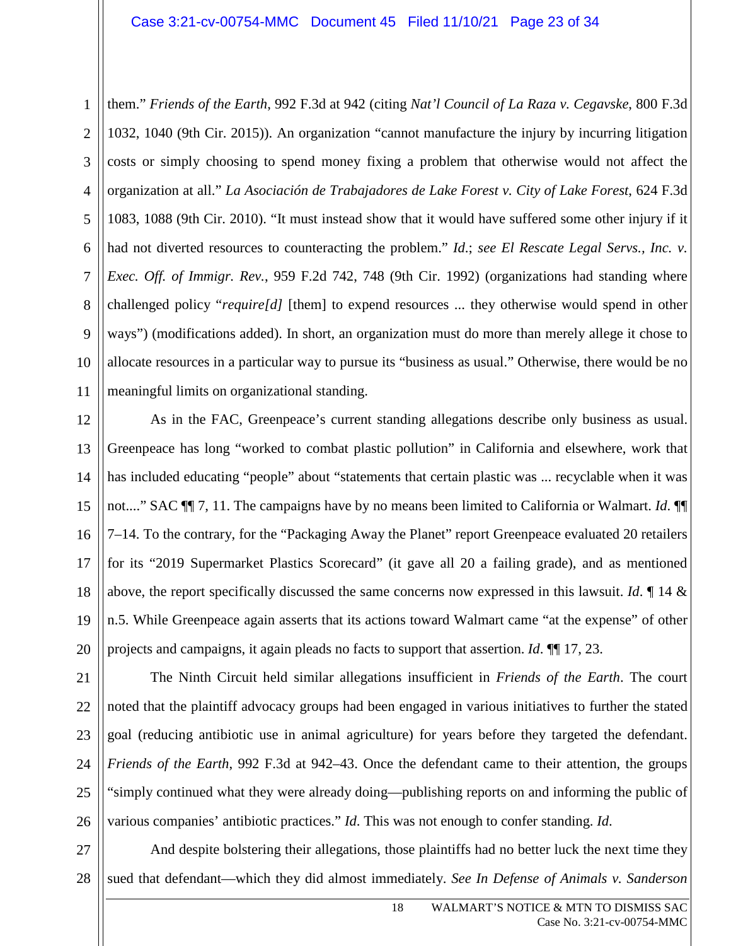1 2 3 4 5 6 7 8 9 10 them." *Friends of the Earth*, 992 F.3d at 942 (citing *Nat'l Council of La Raza v. Cegavske*, 800 F.3d 1032, 1040 (9th Cir. 2015)). An organization "cannot manufacture the injury by incurring litigation costs or simply choosing to spend money fixing a problem that otherwise would not affect the organization at all." *La Asociación de Trabajadores de Lake Forest v. City of Lake Forest*, 624 F.3d 1083, 1088 (9th Cir. 2010). "It must instead show that it would have suffered some other injury if it had not diverted resources to counteracting the problem." *Id*.; *see El Rescate Legal Servs., Inc. v. Exec. Off. of Immigr. Rev.*, 959 F.2d 742, 748 (9th Cir. 1992) (organizations had standing where challenged policy "*require[d]* [them] to expend resources ... they otherwise would spend in other ways") (modifications added). In short, an organization must do more than merely allege it chose to allocate resources in a particular way to pursue its "business as usual." Otherwise, there would be no meaningful limits on organizational standing.

As in the FAC, Greenpeace's current standing allegations describe only business as usual. Greenpeace has long "worked to combat plastic pollution" in California and elsewhere, work that has included educating "people" about "statements that certain plastic was ... recyclable when it was not...." SAC ¶¶ 7, 11. The campaigns have by no means been limited to California or Walmart. *Id*. ¶¶ 7–14. To the contrary, for the "Packaging Away the Planet" report Greenpeace evaluated 20 retailers for its "2019 Supermarket Plastics Scorecard" (it gave all 20 a failing grade), and as mentioned above, the report specifically discussed the same concerns now expressed in this lawsuit. *Id*. ¶ 14 & n.5. While Greenpeace again asserts that its actions toward Walmart came "at the expense" of other projects and campaigns, it again pleads no facts to support that assertion. *Id*. ¶¶ 17, 23.

The Ninth Circuit held similar allegations insufficient in *Friends of the Earth*. The court noted that the plaintiff advocacy groups had been engaged in various initiatives to further the stated goal (reducing antibiotic use in animal agriculture) for years before they targeted the defendant. *Friends of the Earth*, 992 F.3d at 942–43. Once the defendant came to their attention, the groups "simply continued what they were already doing—publishing reports on and informing the public of various companies' antibiotic practices." *Id*. This was not enough to confer standing. *Id*.

27 28 And despite bolstering their allegations, those plaintiffs had no better luck the next time they sued that defendant—which they did almost immediately. *See In Defense of Animals v. Sanderson*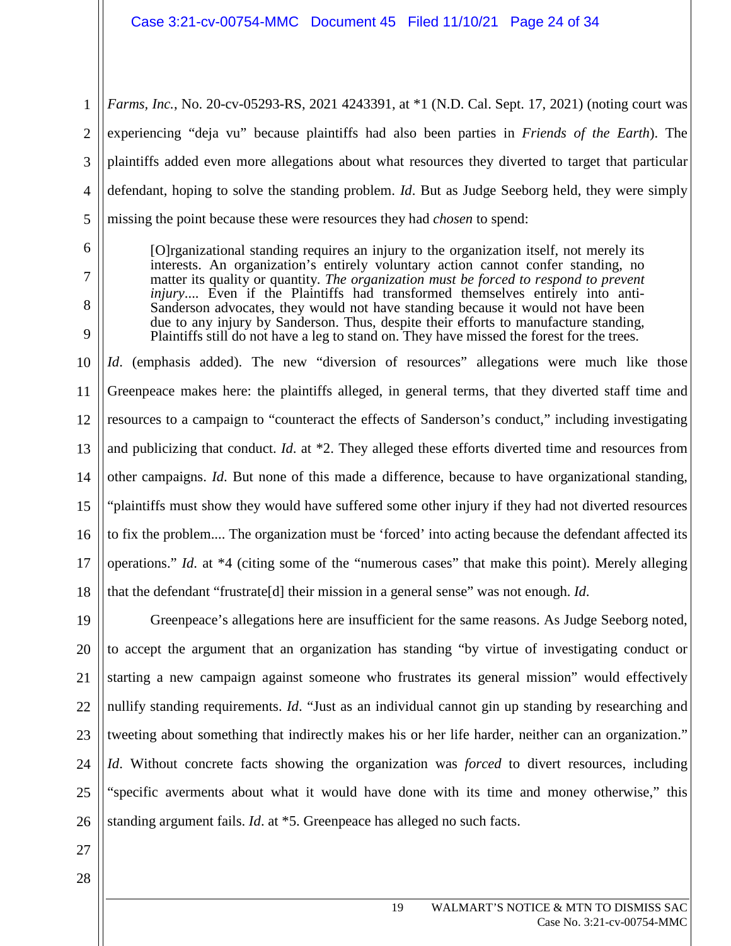1 2 3 4 5 *Farms, Inc.*, No. 20-cv-05293-RS, 2021 4243391, at \*1 (N.D. Cal. Sept. 17, 2021) (noting court was experiencing "deja vu" because plaintiffs had also been parties in *Friends of the Earth*). The plaintiffs added even more allegations about what resources they diverted to target that particular defendant, hoping to solve the standing problem. *Id*. But as Judge Seeborg held, they were simply missing the point because these were resources they had *chosen* to spend:

- 6 7
- 8

9

[O]rganizational standing requires an injury to the organization itself, not merely its interests. An organization's entirely voluntary action cannot confer standing, no matter its quality or quantity. *The organization must be forced to respond to prevent injury*.... Even if the Plaintiffs had transformed themselves entirely into anti-Sanderson advocates, they would not have standing because it would not have been due to any injury by Sanderson. Thus, despite their efforts to manufacture standing, Plaintiffs still do not have a leg to stand on. They have missed the forest for the trees.

10 11 12 13 14 15 16 17 18 *Id.* (emphasis added). The new "diversion of resources" allegations were much like those Greenpeace makes here: the plaintiffs alleged, in general terms, that they diverted staff time and resources to a campaign to "counteract the effects of Sanderson's conduct," including investigating and publicizing that conduct. *Id*. at \*2. They alleged these efforts diverted time and resources from other campaigns. *Id*. But none of this made a difference, because to have organizational standing, "plaintiffs must show they would have suffered some other injury if they had not diverted resources to fix the problem.... The organization must be 'forced' into acting because the defendant affected its operations." *Id*. at \*4 (citing some of the "numerous cases" that make this point). Merely alleging that the defendant "frustrate[d] their mission in a general sense" was not enough. *Id*.

19 20 21 22 23 24 25 26 Greenpeace's allegations here are insufficient for the same reasons. As Judge Seeborg noted, to accept the argument that an organization has standing "by virtue of investigating conduct or starting a new campaign against someone who frustrates its general mission" would effectively nullify standing requirements. *Id*. "Just as an individual cannot gin up standing by researching and tweeting about something that indirectly makes his or her life harder, neither can an organization." *Id*. Without concrete facts showing the organization was *forced* to divert resources, including "specific averments about what it would have done with its time and money otherwise," this standing argument fails. *Id*. at \*5. Greenpeace has alleged no such facts.

27 28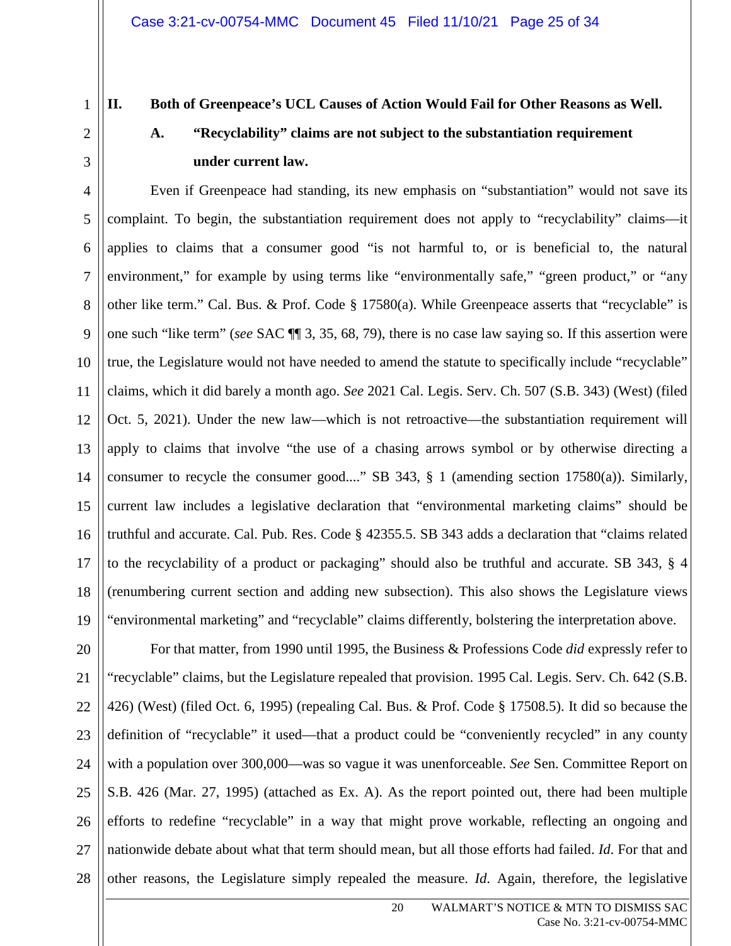2

3

# **II. Both of Greenpeace's UCL Causes of Action Would Fail for Other Reasons as Well.**

# **A. "Recyclability" claims are not subject to the substantiation requirement under current law.**

4 5 6 7 8 9 10 11 12 13 14 15 16 17 18 19 Even if Greenpeace had standing, its new emphasis on "substantiation" would not save its complaint. To begin, the substantiation requirement does not apply to "recyclability" claims—it applies to claims that a consumer good "is not harmful to, or is beneficial to, the natural environment," for example by using terms like "environmentally safe," "green product," or "any other like term." Cal. Bus. & Prof. Code § 17580(a). While Greenpeace asserts that "recyclable" is one such "like term" (*see* SAC ¶¶ 3, 35, 68, 79), there is no case law saying so. If this assertion were true, the Legislature would not have needed to amend the statute to specifically include "recyclable" claims, which it did barely a month ago. *See* 2021 Cal. Legis. Serv. Ch. 507 (S.B. 343) (West) (filed Oct. 5, 2021). Under the new law—which is not retroactive—the substantiation requirement will apply to claims that involve "the use of a chasing arrows symbol or by otherwise directing a consumer to recycle the consumer good...." SB 343, § 1 (amending section 17580(a)). Similarly, current law includes a legislative declaration that "environmental marketing claims" should be truthful and accurate. Cal. Pub. Res. Code § 42355.5. SB 343 adds a declaration that "claims related to the recyclability of a product or packaging" should also be truthful and accurate. SB 343, § 4 (renumbering current section and adding new subsection). This also shows the Legislature views "environmental marketing" and "recyclable" claims differently, bolstering the interpretation above.

20 21 22 23 24 25 26 27 28 For that matter, from 1990 until 1995, the Business & Professions Code *did* expressly refer to "recyclable" claims, but the Legislature repealed that provision. 1995 Cal. Legis. Serv. Ch. 642 (S.B. 426) (West) (filed Oct. 6, 1995) (repealing Cal. Bus. & Prof. Code § 17508.5). It did so because the definition of "recyclable" it used—that a product could be "conveniently recycled" in any county with a population over 300,000—was so vague it was unenforceable. *See* Sen. Committee Report on S.B. 426 (Mar. 27, 1995) (attached as Ex. A). As the report pointed out, there had been multiple efforts to redefine "recyclable" in a way that might prove workable, reflecting an ongoing and nationwide debate about what that term should mean, but all those efforts had failed. *Id*. For that and other reasons, the Legislature simply repealed the measure. *Id*. Again, therefore, the legislative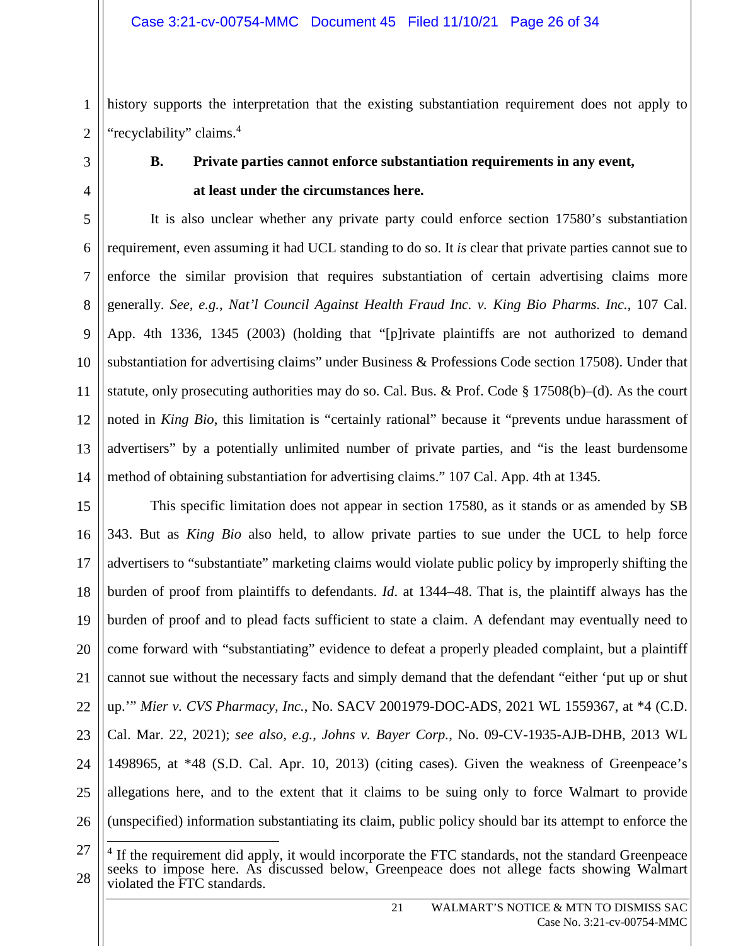2 history supports the interpretation that the existing substantiation requirement does not apply to "recyclability" claims.<sup>4</sup>

1

3

4

# **B. Private parties cannot enforce substantiation requirements in any event, at least under the circumstances here.**

5 6 7 8 9 10 11 12 13 14 It is also unclear whether any private party could enforce section 17580's substantiation requirement, even assuming it had UCL standing to do so. It *is* clear that private parties cannot sue to enforce the similar provision that requires substantiation of certain advertising claims more generally. *See, e.g.*, *Nat'l Council Against Health Fraud Inc. v. King Bio Pharms. Inc.*, 107 Cal. App. 4th 1336, 1345 (2003) (holding that "[p]rivate plaintiffs are not authorized to demand substantiation for advertising claims" under Business & Professions Code section 17508). Under that statute, only prosecuting authorities may do so. Cal. Bus. & Prof. Code  $\S 17508(b)$ –(d). As the court noted in *King Bio*, this limitation is "certainly rational" because it "prevents undue harassment of advertisers" by a potentially unlimited number of private parties, and "is the least burdensome method of obtaining substantiation for advertising claims." 107 Cal. App. 4th at 1345.

15 16 17 18 19 20 21 22 23 24 25 26 This specific limitation does not appear in section 17580, as it stands or as amended by SB 343. But as *King Bio* also held, to allow private parties to sue under the UCL to help force advertisers to "substantiate" marketing claims would violate public policy by improperly shifting the burden of proof from plaintiffs to defendants. *Id*. at 1344–48. That is, the plaintiff always has the burden of proof and to plead facts sufficient to state a claim. A defendant may eventually need to come forward with "substantiating" evidence to defeat a properly pleaded complaint, but a plaintiff cannot sue without the necessary facts and simply demand that the defendant "either 'put up or shut up.'" *Mier v. CVS Pharmacy, Inc.*, No. SACV 2001979-DOC-ADS, 2021 WL 1559367, at \*4 (C.D. Cal. Mar. 22, 2021); *see also, e.g.*, *Johns v. Bayer Corp.*, No. 09-CV-1935-AJB-DHB, 2013 WL 1498965, at \*48 (S.D. Cal. Apr. 10, 2013) (citing cases). Given the weakness of Greenpeace's allegations here, and to the extent that it claims to be suing only to force Walmart to provide (unspecified) information substantiating its claim, public policy should bar its attempt to enforce the

<sup>27</sup>

<sup>28</sup> <sup>4</sup> If the requirement did apply, it would incorporate the FTC standards, not the standard Greenpeace seeks to impose here. As discussed below, Greenpeace does not allege facts showing Walmart violated the FTC standards.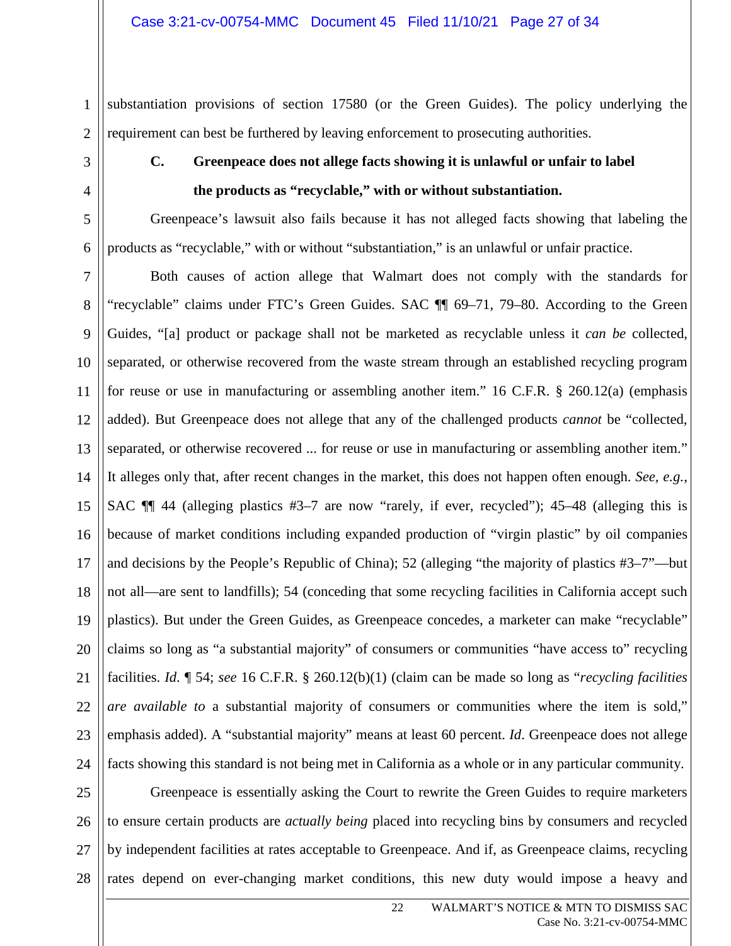substantiation provisions of section 17580 (or the Green Guides). The policy underlying the requirement can best be furthered by leaving enforcement to prosecuting authorities.

# **C. Greenpeace does not allege facts showing it is unlawful or unfair to label the products as "recyclable," with or without substantiation.**

Greenpeace's lawsuit also fails because it has not alleged facts showing that labeling the products as "recyclable," with or without "substantiation," is an unlawful or unfair practice.

Both causes of action allege that Walmart does not comply with the standards for "recyclable" claims under FTC's Green Guides. SAC ¶¶ 69–71, 79–80. According to the Green Guides, "[a] product or package shall not be marketed as recyclable unless it *can be* collected, separated, or otherwise recovered from the waste stream through an established recycling program for reuse or use in manufacturing or assembling another item." 16 C.F.R. § 260.12(a) (emphasis added). But Greenpeace does not allege that any of the challenged products *cannot* be "collected, separated, or otherwise recovered ... for reuse or use in manufacturing or assembling another item." It alleges only that, after recent changes in the market, this does not happen often enough. *See, e.g.*, SAC  $\P$  44 (alleging plastics #3–7 are now "rarely, if ever, recycled"); 45–48 (alleging this is because of market conditions including expanded production of "virgin plastic" by oil companies and decisions by the People's Republic of China); 52 (alleging "the majority of plastics #3–7"—but not all—are sent to landfills); 54 (conceding that some recycling facilities in California accept such plastics). But under the Green Guides, as Greenpeace concedes, a marketer can make "recyclable" claims so long as "a substantial majority" of consumers or communities "have access to" recycling facilities. *Id*. ¶ 54; *see* 16 C.F.R. § 260.12(b)(1) (claim can be made so long as "*recycling facilities are available to* a substantial majority of consumers or communities where the item is sold," emphasis added). A "substantial majority" means at least 60 percent. *Id*. Greenpeace does not allege facts showing this standard is not being met in California as a whole or in any particular community.

25 26 27 Greenpeace is essentially asking the Court to rewrite the Green Guides to require marketers to ensure certain products are *actually being* placed into recycling bins by consumers and recycled by independent facilities at rates acceptable to Greenpeace. And if, as Greenpeace claims, recycling rates depend on ever-changing market conditions, this new duty would impose a heavy and

1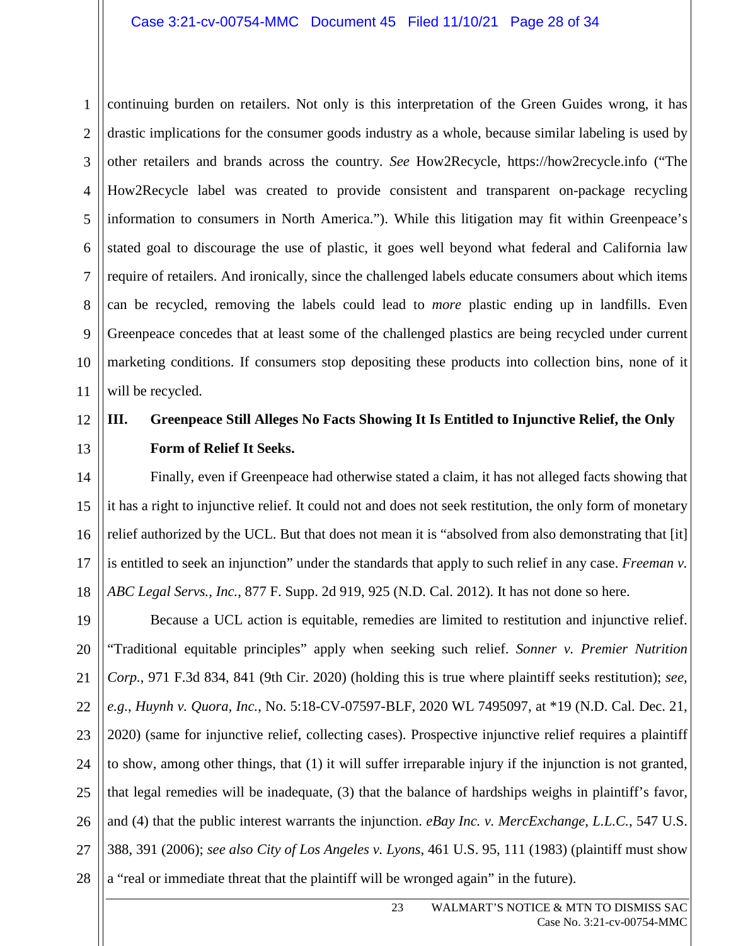1 2 3 4 5 6 7 8 9 10 11 continuing burden on retailers. Not only is this interpretation of the Green Guides wrong, it has drastic implications for the consumer goods industry as a whole, because similar labeling is used by other retailers and brands across the country. *See* How2Recycle, https://how2recycle.info ("The How2Recycle label was created to provide consistent and transparent on-package recycling information to consumers in North America."). While this litigation may fit within Greenpeace's stated goal to discourage the use of plastic, it goes well beyond what federal and California law require of retailers. And ironically, since the challenged labels educate consumers about which items can be recycled, removing the labels could lead to *more* plastic ending up in landfills. Even Greenpeace concedes that at least some of the challenged plastics are being recycled under current marketing conditions. If consumers stop depositing these products into collection bins, none of it will be recycled.

### 12 13 **III. Greenpeace Still Alleges No Facts Showing It Is Entitled to Injunctive Relief, the Only Form of Relief It Seeks.**

14 15 16 17 18 Finally, even if Greenpeace had otherwise stated a claim, it has not alleged facts showing that it has a right to injunctive relief. It could not and does not seek restitution, the only form of monetary relief authorized by the UCL. But that does not mean it is "absolved from also demonstrating that [it] is entitled to seek an injunction" under the standards that apply to such relief in any case. *Freeman v. ABC Legal Servs., Inc.*, 877 F. Supp. 2d 919, 925 (N.D. Cal. 2012). It has not done so here.

19 20 21 22 23 24 25 26 27 28 Because a UCL action is equitable, remedies are limited to restitution and injunctive relief. "Traditional equitable principles" apply when seeking such relief. *Sonner v. Premier Nutrition Corp.*, 971 F.3d 834, 841 (9th Cir. 2020) (holding this is true where plaintiff seeks restitution); *see, e.g.*, *Huynh v. Quora, Inc.*, No. 5:18-CV-07597-BLF, 2020 WL 7495097, at \*19 (N.D. Cal. Dec. 21, 2020) (same for injunctive relief, collecting cases). Prospective injunctive relief requires a plaintiff to show, among other things, that (1) it will suffer irreparable injury if the injunction is not granted, that legal remedies will be inadequate, (3) that the balance of hardships weighs in plaintiff's favor, and (4) that the public interest warrants the injunction. *eBay Inc. v. MercExchange, L.L.C.*, 547 U.S. 388, 391 (2006); *see also City of Los Angeles v. Lyons*, 461 U.S. 95, 111 (1983) (plaintiff must show a "real or immediate threat that the plaintiff will be wronged again" in the future).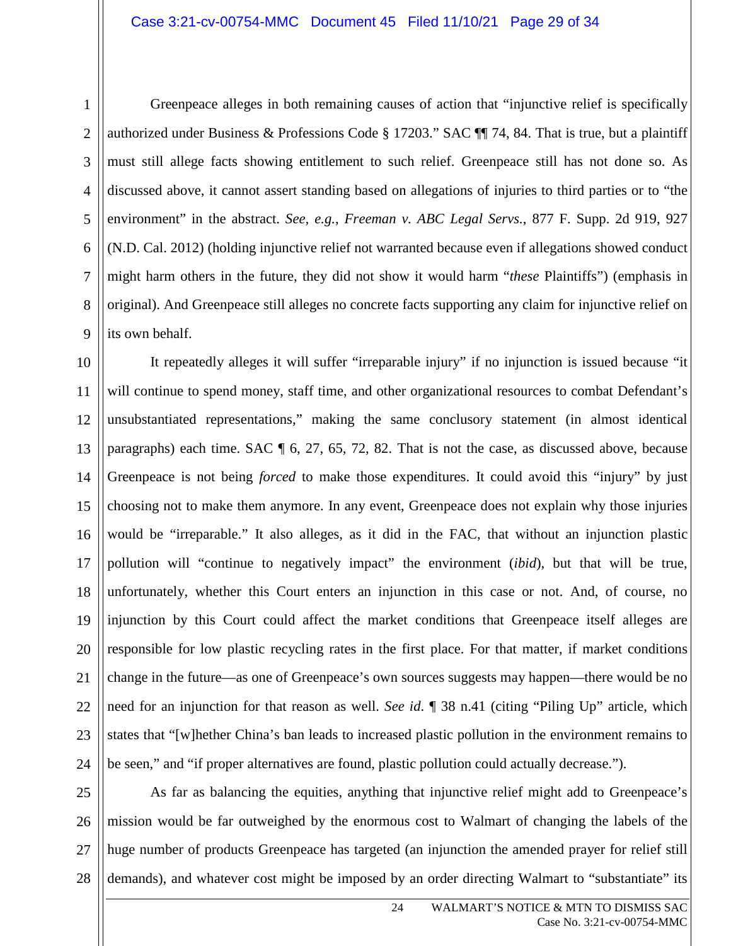Greenpeace alleges in both remaining causes of action that "injunctive relief is specifically authorized under Business & Professions Code § 17203." SAC ¶¶ 74, 84. That is true, but a plaintiff must still allege facts showing entitlement to such relief. Greenpeace still has not done so. As discussed above, it cannot assert standing based on allegations of injuries to third parties or to "the environment" in the abstract. *See, e.g.*, *Freeman v. ABC Legal Servs.*, 877 F. Supp. 2d 919, 927 (N.D. Cal. 2012) (holding injunctive relief not warranted because even if allegations showed conduct might harm others in the future, they did not show it would harm "*these* Plaintiffs") (emphasis in original). And Greenpeace still alleges no concrete facts supporting any claim for injunctive relief on its own behalf.

10 11 12 13 14 15 16 17 18 19 20 21 22 23 24 It repeatedly alleges it will suffer "irreparable injury" if no injunction is issued because "it will continue to spend money, staff time, and other organizational resources to combat Defendant's unsubstantiated representations," making the same conclusory statement (in almost identical paragraphs) each time. SAC ¶ 6, 27, 65, 72, 82. That is not the case, as discussed above, because Greenpeace is not being *forced* to make those expenditures. It could avoid this "injury" by just choosing not to make them anymore. In any event, Greenpeace does not explain why those injuries would be "irreparable." It also alleges, as it did in the FAC, that without an injunction plastic pollution will "continue to negatively impact" the environment (*ibid*), but that will be true, unfortunately, whether this Court enters an injunction in this case or not. And, of course, no injunction by this Court could affect the market conditions that Greenpeace itself alleges are responsible for low plastic recycling rates in the first place. For that matter, if market conditions change in the future—as one of Greenpeace's own sources suggests may happen—there would be no need for an injunction for that reason as well. *See id*. ¶ 38 n.41 (citing "Piling Up" article, which states that "[w]hether China's ban leads to increased plastic pollution in the environment remains to be seen," and "if proper alternatives are found, plastic pollution could actually decrease.").

25 26 27 28 As far as balancing the equities, anything that injunctive relief might add to Greenpeace's mission would be far outweighed by the enormous cost to Walmart of changing the labels of the huge number of products Greenpeace has targeted (an injunction the amended prayer for relief still demands), and whatever cost might be imposed by an order directing Walmart to "substantiate" its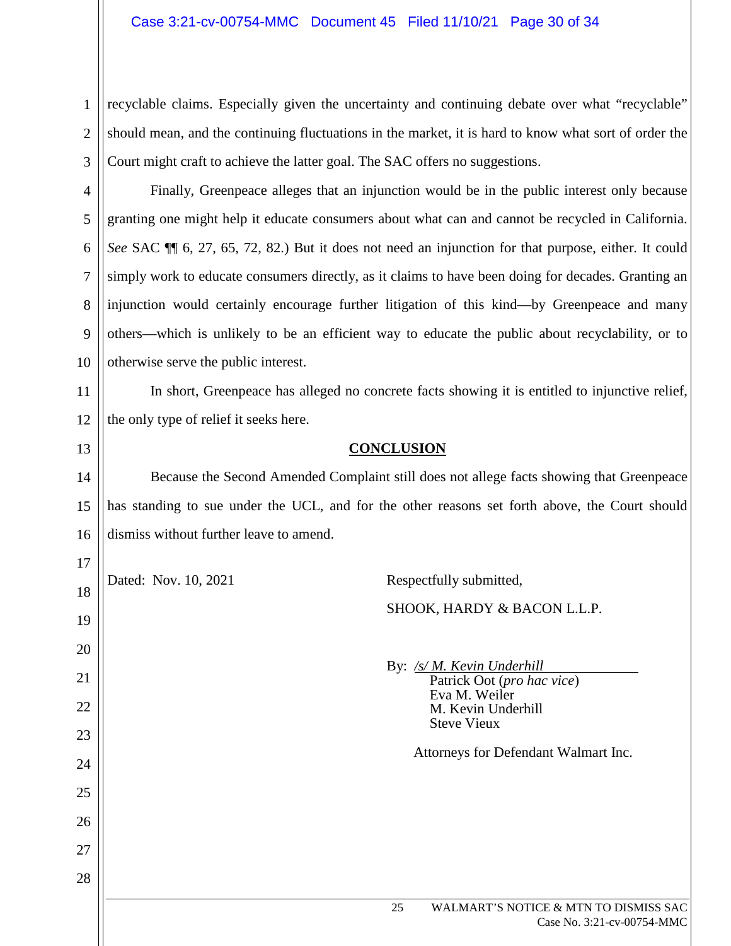4

5

6

7

8

9

10

13

 $17<sup>1</sup>$ 

2 3 recyclable claims. Especially given the uncertainty and continuing debate over what "recyclable" should mean, and the continuing fluctuations in the market, it is hard to know what sort of order the Court might craft to achieve the latter goal. The SAC offers no suggestions.

Finally, Greenpeace alleges that an injunction would be in the public interest only because granting one might help it educate consumers about what can and cannot be recycled in California. *See* SAC ¶¶ 6, 27, 65, 72, 82.) But it does not need an injunction for that purpose, either. It could simply work to educate consumers directly, as it claims to have been doing for decades. Granting an injunction would certainly encourage further litigation of this kind—by Greenpeace and many others—which is unlikely to be an efficient way to educate the public about recyclability, or to otherwise serve the public interest.

11 12 In short, Greenpeace has alleged no concrete facts showing it is entitled to injunctive relief, the only type of relief it seeks here.

# **CONCLUSION**

14 15 16 Because the Second Amended Complaint still does not allege facts showing that Greenpeace has standing to sue under the UCL, and for the other reasons set forth above, the Court should dismiss without further leave to amend.

| . .            | Dated: Nov. 10, 2021 | Respectfully submitted,                                                                         |
|----------------|----------------------|-------------------------------------------------------------------------------------------------|
| 18<br>19       |                      | SHOOK, HARDY & BACON L.L.P.                                                                     |
| 20<br>21<br>22 |                      | By: /s/ M. Kevin Underhill<br>Patrick Oot (pro hac vice)<br>Eva M. Weiler<br>M. Kevin Underhill |
| 23             |                      | <b>Steve Vieux</b>                                                                              |
| 24             |                      | Attorneys for Defendant Walmart Inc.                                                            |
| 25             |                      |                                                                                                 |
| 26             |                      |                                                                                                 |
| 27             |                      |                                                                                                 |
| 28             |                      |                                                                                                 |
|                |                      | WALMART'S NOTICE & MTN TO DISMISS SAC<br>25<br>Case No. 3:21-cv-00754-MMC                       |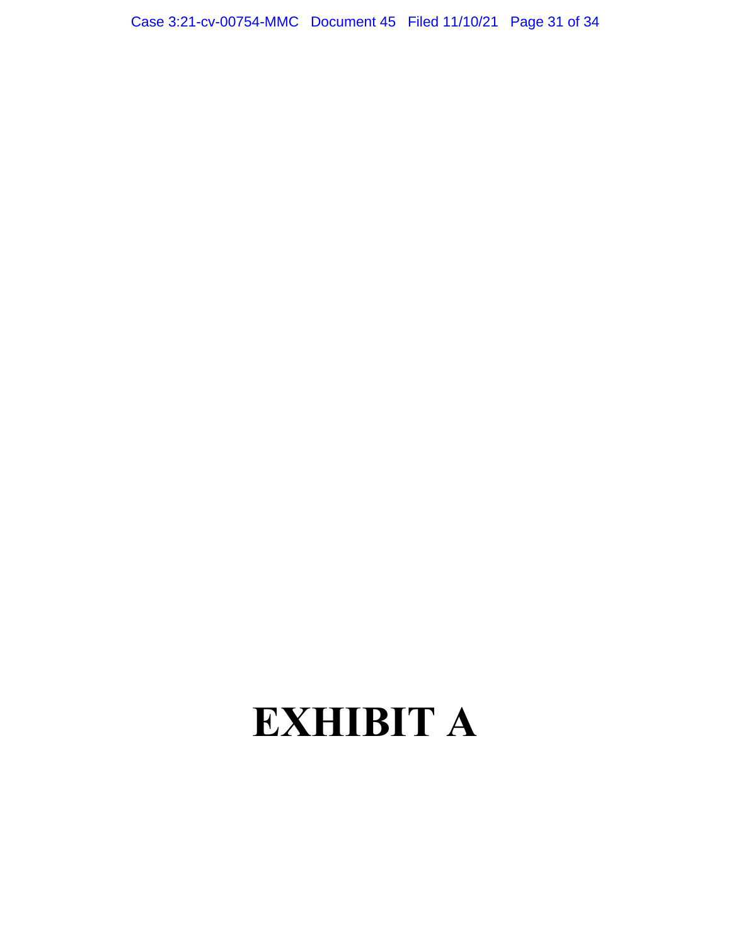Case 3:21-cv-00754-MMC Document 45 Filed 11/10/21 Page 31 of 34

# EXHIBIT A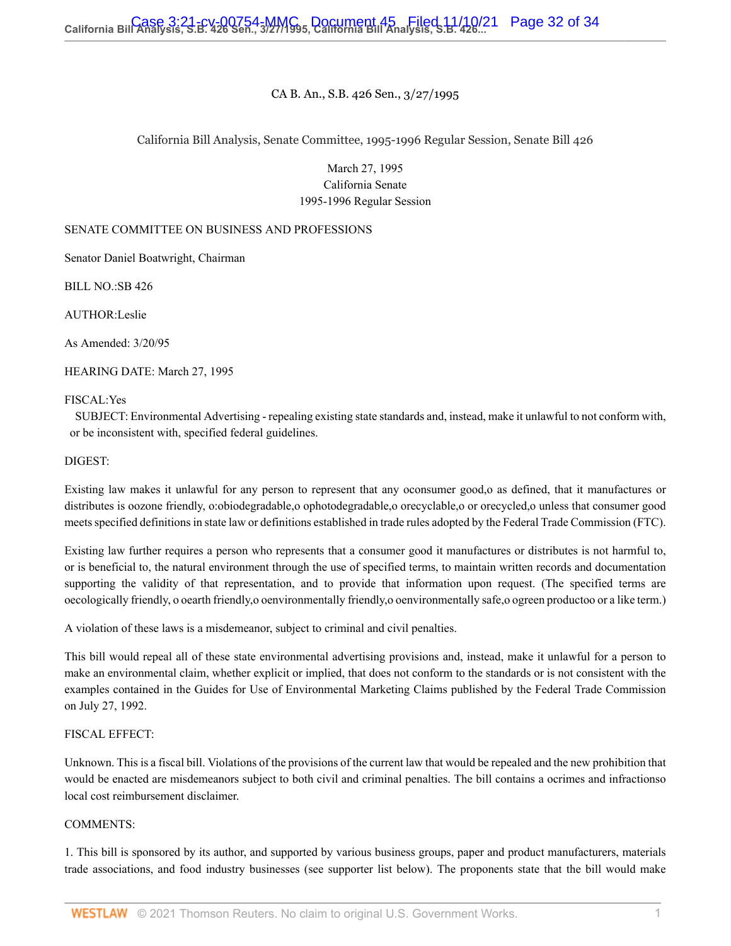## CA B. An., S.B. 426 Sen., 3/27/1995

## California Bill Analysis, Senate Committee, 1995-1996 Regular Session, Senate Bill 426

March 27, 1995 California Senate 1995-1996 Regular Session

### SENATE COMMITTEE ON BUSINESS AND PROFESSIONS

Senator Daniel Boatwright, Chairman

BILL NO.:SB 426

AUTHOR:Leslie

As Amended: 3/20/95

HEARING DATE: March 27, 1995

### FISCAL:Yes

SUBJECT: Environmental Advertising - repealing existing state standards and, instead, make it unlawful to not conform with, or be inconsistent with, specified federal guidelines.

### DIGEST:

Existing law makes it unlawful for any person to represent that any oconsumer good,o as defined, that it manufactures or distributes is oozone friendly, o:obiodegradable,o ophotodegradable,o orecyclable,o or orecycled,o unless that consumer good meets specified definitions in state law or definitions established in trade rules adopted by the Federal Trade Commission (FTC).

Existing law further requires a person who represents that a consumer good it manufactures or distributes is not harmful to, or is beneficial to, the natural environment through the use of specified terms, to maintain written records and documentation supporting the validity of that representation, and to provide that information upon request. (The specified terms are oecologically friendly, o oearth friendly,o oenvironmentally friendly,o oenvironmentally safe,o ogreen productoo or a like term.)

A violation of these laws is a misdemeanor, subject to criminal and civil penalties.

This bill would repeal all of these state environmental advertising provisions and, instead, make it unlawful for a person to make an environmental claim, whether explicit or implied, that does not conform to the standards or is not consistent with the examples contained in the Guides for Use of Environmental Marketing Claims published by the Federal Trade Commission on July 27, 1992.

### FISCAL EFFECT:

Unknown. This is a fiscal bill. Violations of the provisions of the current law that would be repealed and the new prohibition that would be enacted are misdemeanors subject to both civil and criminal penalties. The bill contains a ocrimes and infractionso local cost reimbursement disclaimer.

### COMMENTS:

1. This bill is sponsored by its author, and supported by various business groups, paper and product manufacturers, materials trade associations, and food industry businesses (see supporter list below). The proponents state that the bill would make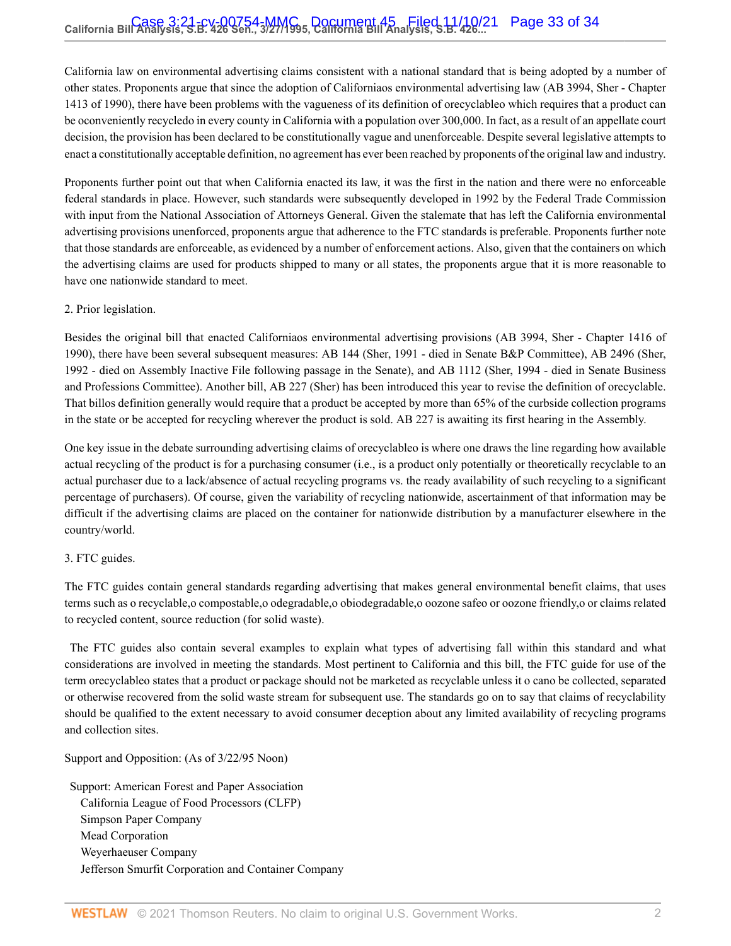California law on environmental advertising claims consistent with a national standard that is being adopted by a number of other states. Proponents argue that since the adoption of Californiaos environmental advertising law (AB 3994, Sher - Chapter 1413 of 1990), there have been problems with the vagueness of its definition of orecyclableo which requires that a product can be oconveniently recycledo in every county in California with a population over 300,000. In fact, as a result of an appellate court decision, the provision has been declared to be constitutionally vague and unenforceable. Despite several legislative attempts to enact a constitutionally acceptable definition, no agreement has ever been reached by proponents of the original law and industry.

Proponents further point out that when California enacted its law, it was the first in the nation and there were no enforceable federal standards in place. However, such standards were subsequently developed in 1992 by the Federal Trade Commission with input from the National Association of Attorneys General. Given the stalemate that has left the California environmental advertising provisions unenforced, proponents argue that adherence to the FTC standards is preferable. Proponents further note that those standards are enforceable, as evidenced by a number of enforcement actions. Also, given that the containers on which the advertising claims are used for products shipped to many or all states, the proponents argue that it is more reasonable to have one nationwide standard to meet.

## 2. Prior legislation.

Besides the original bill that enacted Californiaos environmental advertising provisions (AB 3994, Sher - Chapter 1416 of 1990), there have been several subsequent measures: AB 144 (Sher, 1991 - died in Senate B&P Committee), AB 2496 (Sher, 1992 - died on Assembly Inactive File following passage in the Senate), and AB 1112 (Sher, 1994 - died in Senate Business and Professions Committee). Another bill, AB 227 (Sher) has been introduced this year to revise the definition of orecyclable. That billos definition generally would require that a product be accepted by more than 65% of the curbside collection programs in the state or be accepted for recycling wherever the product is sold. AB 227 is awaiting its first hearing in the Assembly.

One key issue in the debate surrounding advertising claims of orecyclableo is where one draws the line regarding how available actual recycling of the product is for a purchasing consumer (i.e., is a product only potentially or theoretically recyclable to an actual purchaser due to a lack/absence of actual recycling programs vs. the ready availability of such recycling to a significant percentage of purchasers). Of course, given the variability of recycling nationwide, ascertainment of that information may be difficult if the advertising claims are placed on the container for nationwide distribution by a manufacturer elsewhere in the country/world.

### 3. FTC guides.

The FTC guides contain general standards regarding advertising that makes general environmental benefit claims, that uses terms such as o recyclable,o compostable,o odegradable,o obiodegradable,o oozone safeo or oozone friendly,o or claims related to recycled content, source reduction (for solid waste).

The FTC guides also contain several examples to explain what types of advertising fall within this standard and what considerations are involved in meeting the standards. Most pertinent to California and this bill, the FTC guide for use of the term orecyclableo states that a product or package should not be marketed as recyclable unless it o cano be collected, separated or otherwise recovered from the solid waste stream for subsequent use. The standards go on to say that claims of recyclability should be qualified to the extent necessary to avoid consumer deception about any limited availability of recycling programs and collection sites.

Support and Opposition: (As of 3/22/95 Noon)

Support: American Forest and Paper Association California League of Food Processors (CLFP) Simpson Paper Company Mead Corporation Weyerhaeuser Company Jefferson Smurfit Corporation and Container Company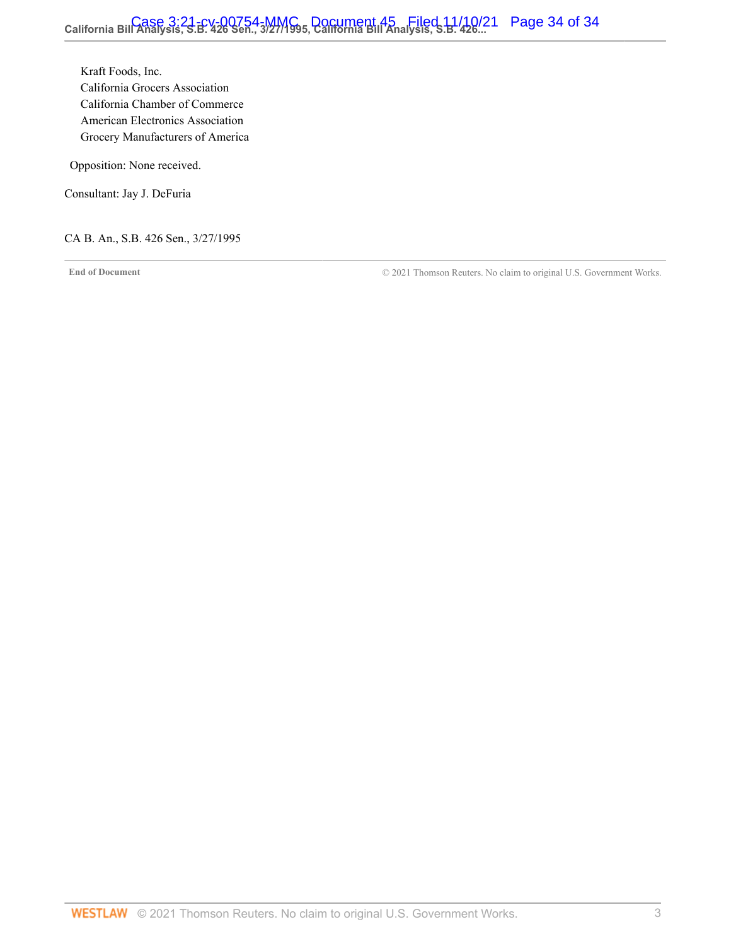Kraft Foods, Inc. California Grocers Association California Chamber of Commerce American Electronics Association Grocery Manufacturers of America

Opposition: None received.

Consultant: Jay J. DeFuria

CA B. An., S.B. 426 Sen., 3/27/1995

**End of Document** © 2021 Thomson Reuters. No claim to original U.S. Government Works.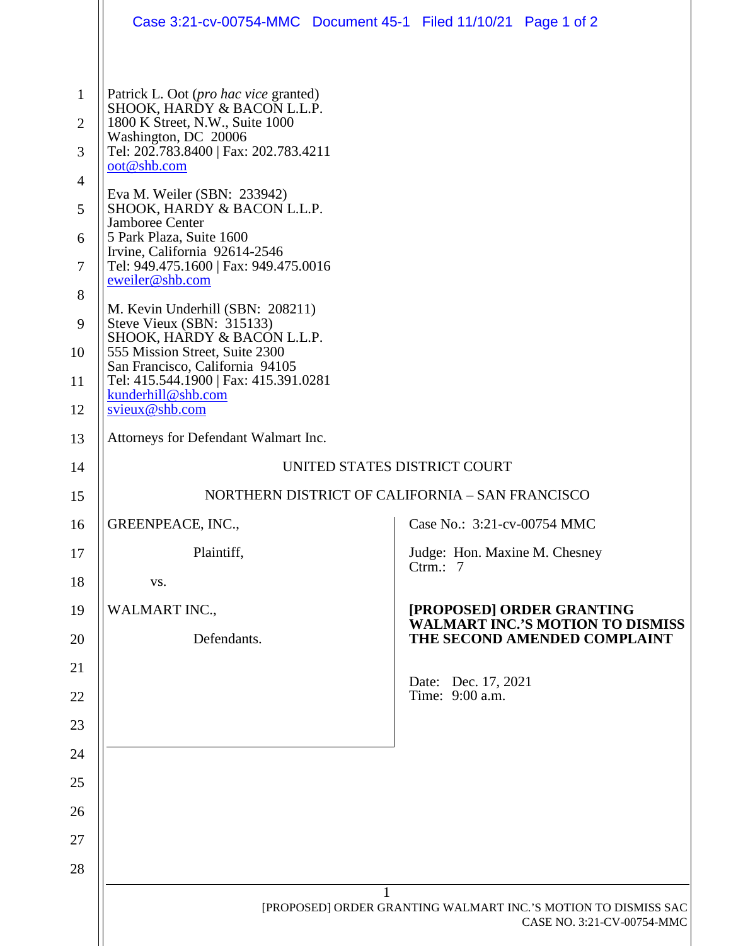|                                                                                                         | Case 3:21-cv-00754-MMC  Document 45-1  Filed 11/10/21  Page 1 of 2                                                                                                                                                                                                                                                                                                                                                                                                                                                                                                                                                                            |                                                                      |
|---------------------------------------------------------------------------------------------------------|-----------------------------------------------------------------------------------------------------------------------------------------------------------------------------------------------------------------------------------------------------------------------------------------------------------------------------------------------------------------------------------------------------------------------------------------------------------------------------------------------------------------------------------------------------------------------------------------------------------------------------------------------|----------------------------------------------------------------------|
| $\mathbf{1}$<br>$\overline{2}$<br>3<br>$\overline{4}$<br>5<br>6<br>$\overline{7}$<br>8<br>9<br>10<br>11 | Patrick L. Oot ( <i>pro hac vice</i> granted)<br>SHOOK, HARDY & BACON L.L.P.<br>1800 K Street, N.W., Suite 1000<br>Washington, DC 20006<br>Tel: 202.783.8400   Fax: 202.783.4211<br>oot@shb.com<br>Eva M. Weiler (SBN: 233942)<br>SHOOK, HARDY & BACON L.L.P.<br>Jamboree Center<br>5 Park Plaza, Suite 1600<br>Irvine, California 92614-2546<br>Tel: 949.475.1600   Fax: 949.475.0016<br>eweiler@shb.com<br>M. Kevin Underhill (SBN: 208211)<br>Steve Vieux (SBN: 315133)<br>SHOOK, HARDY & BACON L.L.P.<br>555 Mission Street, Suite 2300<br>San Francisco, California 94105<br>Tel: 415.544.1900   Fax: 415.391.0281<br>kunderhill@shb.com |                                                                      |
| 12                                                                                                      | svieux@shb.com                                                                                                                                                                                                                                                                                                                                                                                                                                                                                                                                                                                                                                |                                                                      |
| 13                                                                                                      | Attorneys for Defendant Walmart Inc.                                                                                                                                                                                                                                                                                                                                                                                                                                                                                                                                                                                                          |                                                                      |
| 14                                                                                                      |                                                                                                                                                                                                                                                                                                                                                                                                                                                                                                                                                                                                                                               | UNITED STATES DISTRICT COURT                                         |
| 15                                                                                                      |                                                                                                                                                                                                                                                                                                                                                                                                                                                                                                                                                                                                                                               | NORTHERN DISTRICT OF CALIFORNIA - SAN FRANCISCO                      |
| 16                                                                                                      | GREENPEACE, INC.,                                                                                                                                                                                                                                                                                                                                                                                                                                                                                                                                                                                                                             | Case No.: 3:21-cv-00754 MMC                                          |
| 17                                                                                                      | Plaintiff,                                                                                                                                                                                                                                                                                                                                                                                                                                                                                                                                                                                                                                    | Judge: Hon. Maxine M. Chesney<br>Ctrm.: $7$                          |
| 18                                                                                                      | VS.                                                                                                                                                                                                                                                                                                                                                                                                                                                                                                                                                                                                                                           |                                                                      |
| 19                                                                                                      | <b>WALMART INC.,</b>                                                                                                                                                                                                                                                                                                                                                                                                                                                                                                                                                                                                                          | [PROPOSED] ORDER GRANTING<br><b>WALMART INC.'S MOTION TO DISMISS</b> |
| 20                                                                                                      | Defendants.                                                                                                                                                                                                                                                                                                                                                                                                                                                                                                                                                                                                                                   | THE SECOND AMENDED COMPLAINT                                         |
| 21                                                                                                      |                                                                                                                                                                                                                                                                                                                                                                                                                                                                                                                                                                                                                                               | Date: Dec. 17, 2021                                                  |
| 22                                                                                                      |                                                                                                                                                                                                                                                                                                                                                                                                                                                                                                                                                                                                                                               | Time: 9:00 a.m.                                                      |
| 23                                                                                                      |                                                                                                                                                                                                                                                                                                                                                                                                                                                                                                                                                                                                                                               |                                                                      |
| 24                                                                                                      |                                                                                                                                                                                                                                                                                                                                                                                                                                                                                                                                                                                                                                               |                                                                      |
| 25                                                                                                      |                                                                                                                                                                                                                                                                                                                                                                                                                                                                                                                                                                                                                                               |                                                                      |
| 26                                                                                                      |                                                                                                                                                                                                                                                                                                                                                                                                                                                                                                                                                                                                                                               |                                                                      |
| 27                                                                                                      |                                                                                                                                                                                                                                                                                                                                                                                                                                                                                                                                                                                                                                               |                                                                      |
| 28                                                                                                      |                                                                                                                                                                                                                                                                                                                                                                                                                                                                                                                                                                                                                                               |                                                                      |
|                                                                                                         | [PROPOSED] ORDER GRANTING WALMART INC.'S MOTION TO DISMISS SAC<br>CASE NO. 3:21-CV-00754-MMC                                                                                                                                                                                                                                                                                                                                                                                                                                                                                                                                                  |                                                                      |